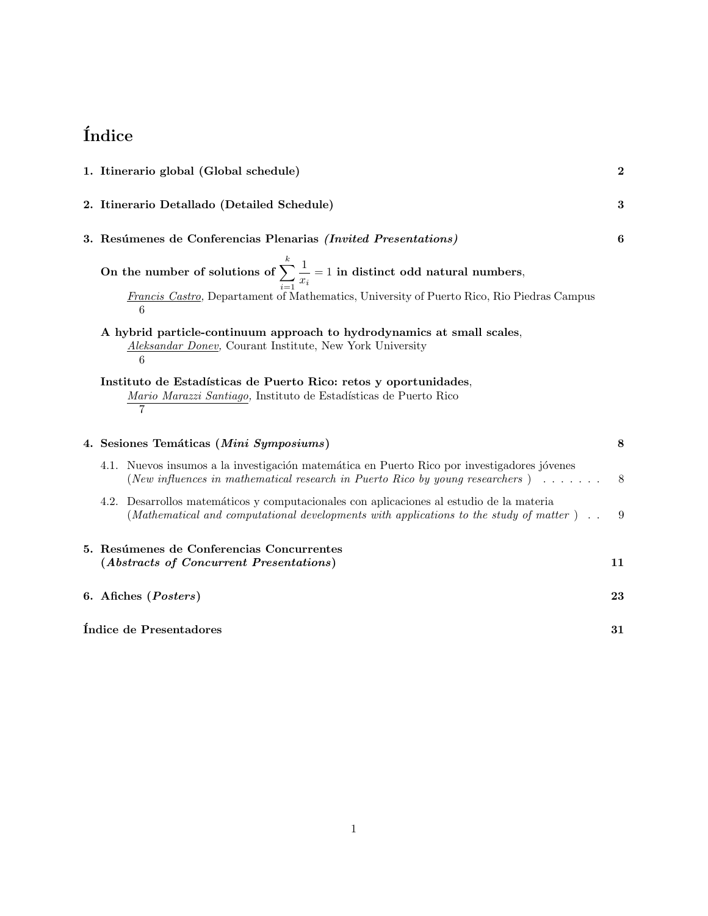# **´Indice**

|                                                                                                                                         | 1. Itinerario global (Global schedule)                                                         |                                                                                                                                                                                     |    |  |
|-----------------------------------------------------------------------------------------------------------------------------------------|------------------------------------------------------------------------------------------------|-------------------------------------------------------------------------------------------------------------------------------------------------------------------------------------|----|--|
|                                                                                                                                         | 2. Itinerario Detallado (Detailed Schedule)                                                    |                                                                                                                                                                                     |    |  |
|                                                                                                                                         |                                                                                                | 3. Resúmenes de Conferencias Plenarias (Invited Presentations)                                                                                                                      | 6  |  |
|                                                                                                                                         |                                                                                                | On the number of solutions of $\sum_{i=1}^{k} \frac{1}{x_i} = 1$ in distinct odd natural numbers,                                                                                   |    |  |
|                                                                                                                                         | Francis Castro, Departament of Mathematics, University of Puerto Rico, Rio Piedras Campus<br>6 |                                                                                                                                                                                     |    |  |
| A hybrid particle-continuum approach to hydrodynamics at small scales,<br>Aleksandar Doney, Courant Institute, New York University<br>6 |                                                                                                |                                                                                                                                                                                     |    |  |
|                                                                                                                                         |                                                                                                | Instituto de Estadísticas de Puerto Rico: retos y oportunidades,<br>Mario Marazzi Santiago, Instituto de Estadísticas de Puerto Rico<br>7                                           |    |  |
|                                                                                                                                         |                                                                                                | 4. Sesiones Temáticas (Mini Symposiums)                                                                                                                                             | 8  |  |
|                                                                                                                                         |                                                                                                | 4.1. Nuevos insumos a la investigación matemática en Puerto Rico por investigadores jóvenes<br>(New influences in mathematical research in Puerto Rico by young researchers)        | 8  |  |
|                                                                                                                                         |                                                                                                | 4.2. Desarrollos matemáticos y computacionales con aplicaciones al estudio de la materia<br>(Mathematical and computational developments with applications to the study of matter). | 9  |  |
|                                                                                                                                         |                                                                                                | 5. Resúmenes de Conferencias Concurrentes<br>(Abstracts of Concurrent Presentations)                                                                                                | 11 |  |
|                                                                                                                                         |                                                                                                | 6. Afiches (Posters)                                                                                                                                                                | 23 |  |
|                                                                                                                                         |                                                                                                | Índice de Presentadores                                                                                                                                                             | 31 |  |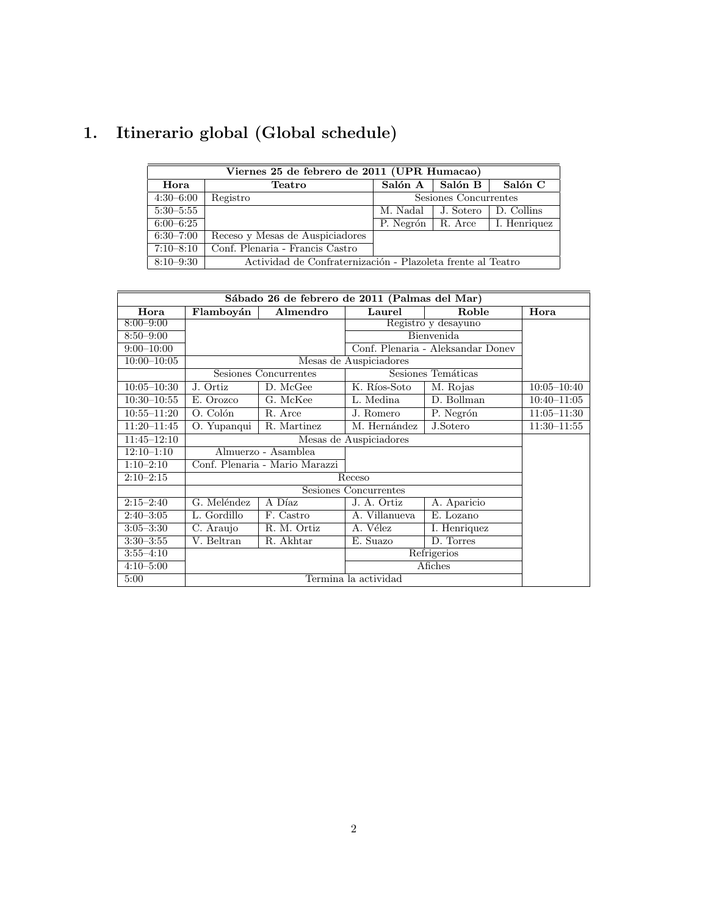# **1. Itinerario global (Global schedule)**

| Viernes 25 de febrero de 2011 (UPR Humacao) |                                                             |                     |                       |              |  |
|---------------------------------------------|-------------------------------------------------------------|---------------------|-----------------------|--------------|--|
| Hora                                        | <b>Teatro</b>                                               | Salón A             | Salón B               | Salón C      |  |
| $4:30-6:00$                                 | Registro                                                    |                     | Sesiones Concurrentes |              |  |
| $5:30-5:55$                                 |                                                             | M. Nadal            | J. Sotero             | D. Collins   |  |
| $6:00-6:25$                                 |                                                             | P. Negrón   R. Arce |                       | I. Henriquez |  |
| $6:30 - 7:00$                               | Receso y Mesas de Auspiciadores                             |                     |                       |              |  |
| $7:10 - 8:10$                               | Conf. Plenaria - Francis Castro                             |                     |                       |              |  |
| $8:10 - 9:30$                               | Actividad de Confraternización - Plazoleta frente al Teatro |                     |                       |              |  |

| Sábado 26 de febrero de 2011 (Palmas del Mar) |                                |                       |                        |                                   |                 |
|-----------------------------------------------|--------------------------------|-----------------------|------------------------|-----------------------------------|-----------------|
| Hora                                          | Flamboyán                      | Almendro              | Laurel                 | Roble                             | Hora            |
| $8:00 - 9:00$                                 |                                |                       | Registro y desayuno    |                                   |                 |
| $8:50 - 9:00$                                 |                                |                       | <b>Bienvenida</b>      |                                   |                 |
| $9:00 - 10:00$                                |                                |                       |                        | Conf. Plenaria - Aleksandar Doney |                 |
| $10:00 - 10:05$                               |                                |                       | Mesas de Auspiciadores |                                   |                 |
|                                               |                                | Sesiones Concurrentes |                        | Sesiones Temáticas                |                 |
| $10:05 - 10:30$                               | J. Ortiz                       | D. McGee              | K. Ríos-Soto           | M. Rojas                          | $10:05 - 10:40$ |
| $10:30 - 10:55$                               | E. Orozco                      | G. McKee              | L. Medina              | D. Bollman                        | $10:40 - 11:05$ |
| $10:55 - 11:20$                               | O. Colón                       | R. Arce               | J. Romero              | P. Negrón                         | $11:05 - 11:30$ |
| $11:20 - 11:45$                               | O. Yupanqui                    | R. Martinez           | M. Hernández           | J.Sotero                          | $11:30 - 11:55$ |
| $11:45 - 12:10$                               |                                |                       | Mesas de Auspiciadores |                                   |                 |
| $12:10-1:10$                                  |                                | Almuerzo - Asamblea   |                        |                                   |                 |
| $1:10-2:10$                                   | Conf. Plenaria - Mario Marazzi |                       |                        |                                   |                 |
| $2:10-2:15$                                   |                                |                       | Receso                 |                                   |                 |
|                                               | Sesiones Concurrentes          |                       |                        |                                   |                 |
| $2:15 - 2:40$                                 | G. Meléndez                    | A Díaz                | J. A. Ortiz            | A. Aparicio                       |                 |
| $2:40-3:05$                                   | L. Gordillo                    | F. Castro             | A. Villanueva          | E. Lozano                         |                 |
| $3:05 - 3:30$                                 | C. Araujo                      | R. M. Ortiz           | A. Vélez               | I. Henriquez                      |                 |
| $3:30 - 3:55$                                 | V. Beltran                     | R. Akhtar             | E. Suazo               | D. Torres                         |                 |
| $3:55 - 4:10$                                 |                                |                       |                        | Refrigerios                       |                 |
| $4:10 - 5:00$                                 |                                |                       |                        | Afiches                           |                 |
| 5:00                                          | Termina la actividad           |                       |                        |                                   |                 |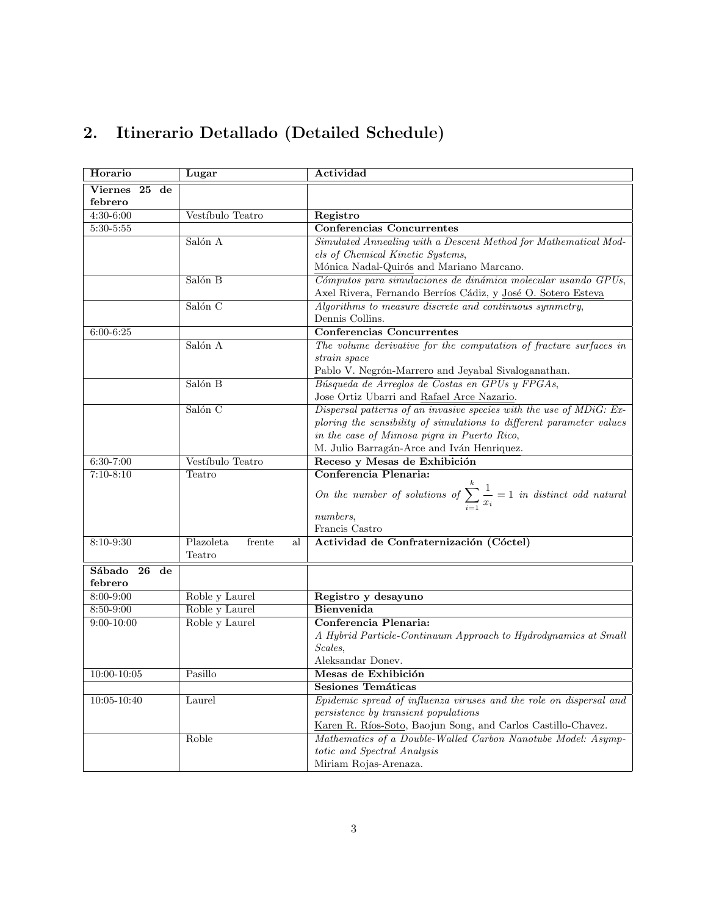# **2. Itinerario Detallado (Detailed Schedule)**

| Horario                                | Lugar            | Actividad                                                                                |  |  |
|----------------------------------------|------------------|------------------------------------------------------------------------------------------|--|--|
| $Viernes$ 25 de                        |                  |                                                                                          |  |  |
| febrero                                |                  |                                                                                          |  |  |
| 4:30-6:00                              | Vestíbulo Teatro | Registro                                                                                 |  |  |
| $5:30 - 5:55$                          |                  | <b>Conferencias Concurrentes</b>                                                         |  |  |
|                                        | Salón A          | Simulated Annealing with a Descent Method for Mathematical Mod-                          |  |  |
|                                        |                  | els of Chemical Kinetic Systems,                                                         |  |  |
|                                        |                  | Mónica Nadal-Quirós and Mariano Marcano.                                                 |  |  |
|                                        | Salón B          | Cómputos para simulaciones de dinámica molecular usando GPUs,                            |  |  |
|                                        |                  | Axel Rivera, Fernando Berríos Cádiz, y <u>José O. Sotero Esteva</u>                      |  |  |
|                                        | Salón C          | Algorithms to measure discrete and continuous symmetry,                                  |  |  |
|                                        |                  | Dennis Collins.                                                                          |  |  |
| $6:00 - 6:25$                          |                  | <b>Conferencias Concurrentes</b>                                                         |  |  |
|                                        | Salón A          | The volume derivative for the computation of fracture surfaces in                        |  |  |
|                                        |                  | strain space                                                                             |  |  |
|                                        |                  | Pablo V. Negrón-Marrero and Jeyabal Sivaloganathan.                                      |  |  |
|                                        | Salón B          | Búsqueda de Arreglos de Costas en GPUs y FPGAs,                                          |  |  |
|                                        |                  | Jose Ortiz Ubarri and Rafael Arce Nazario.                                               |  |  |
|                                        | Salón C          | Dispersal patterns of an invasive species with the use of MDiG: Ex-                      |  |  |
|                                        |                  | ploring the sensibility of simulations to different parameter values                     |  |  |
|                                        |                  | in the case of Mimosa pigra in Puerto Rico,                                              |  |  |
|                                        |                  | M. Julio Barragán-Arce and Iván Henriquez.                                               |  |  |
| Vestíbulo Teatro<br>6:30-7:00          |                  | Receso y Mesas de Exhibición                                                             |  |  |
| $7:10-8:10$<br>Teatro                  |                  | Conferencia Plenaria:                                                                    |  |  |
|                                        |                  | On the number of solutions of $\sum_{i=1}^{k} \frac{1}{x_i} = 1$ in distinct odd natural |  |  |
|                                        |                  | numbers,                                                                                 |  |  |
|                                        |                  | Francis Castro                                                                           |  |  |
| Plazoleta<br>8:10-9:30<br>frente<br>al |                  | Actividad de Confraternización (Cóctel)                                                  |  |  |
|                                        | Teatro           |                                                                                          |  |  |
| Sábado<br>$26$ de                      |                  |                                                                                          |  |  |
| febrero                                |                  |                                                                                          |  |  |
| 8:00-9:00                              | Roble y Laurel   | Registro y desayuno                                                                      |  |  |
| 8:50-9:00                              | Roble y Laurel   | <b>Bienvenida</b>                                                                        |  |  |
| $9:00 - 10:00$                         | Roble y Laurel   | Conferencia Plenaria:                                                                    |  |  |
|                                        |                  | A Hybrid Particle-Continuum Approach to Hydrodynamics at Small                           |  |  |
|                                        |                  | Scales,                                                                                  |  |  |
|                                        |                  | Aleksandar Donev.                                                                        |  |  |
| $10:00 - 10:05$                        | Pasillo          | Mesas de Exhibición                                                                      |  |  |
|                                        |                  | <b>Sesiones Temáticas</b>                                                                |  |  |
| $10:05 - 10:40$                        | Laurel           | Epidemic spread of influenza viruses and the role on dispersal and                       |  |  |
|                                        |                  | persistence by transient populations                                                     |  |  |
|                                        |                  | Karen R. Ríos-Soto, Baojun Song, and Carlos Castillo-Chavez.                             |  |  |
|                                        | Roble            | Mathematics of a Double-Walled Carbon Nanotube Model: Asymp-                             |  |  |
|                                        |                  | totic and Spectral Analysis                                                              |  |  |
|                                        |                  | Miriam Rojas-Arenaza.                                                                    |  |  |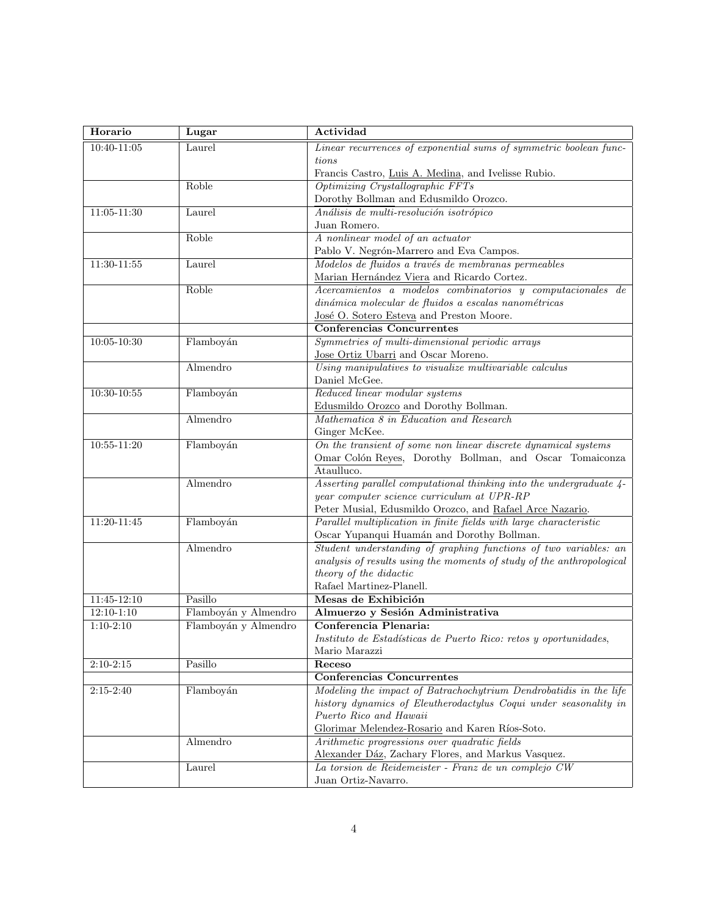| Horario         | Lugar                | Actividad                                                                       |
|-----------------|----------------------|---------------------------------------------------------------------------------|
| $10:40 - 11:05$ | Laurel               | Linear recurrences of exponential sums of symmetric boolean func-               |
|                 |                      | tions                                                                           |
|                 |                      | Francis Castro, Luis A. Medina, and Ivelisse Rubio.                             |
|                 | Roble                | Optimizing Crystallographic FFTs                                                |
|                 |                      | Dorothy Bollman and Edusmildo Orozco.                                           |
| $11:05 - 11:30$ | Laurel               | Análisis de multi-resolución isotrópico                                         |
|                 |                      | Juan Romero.                                                                    |
|                 | Roble                | A nonlinear model of an actuator                                                |
|                 |                      | Pablo V. Negrón-Marrero and Eva Campos.                                         |
| $11:30-11:55$   | Laurel               | Modelos de fluidos a través de membranas permeables                             |
|                 |                      | Marian Hernández Viera and Ricardo Cortez.                                      |
|                 | Roble                | Acercamientos a modelos combinatorios y computacionales de                      |
|                 |                      | dinámica molecular de fluidos a escalas nanométricas                            |
|                 |                      | José O. Sotero Esteva and Preston Moore.                                        |
|                 |                      | <b>Conferencias Concurrentes</b>                                                |
| $10:05 - 10:30$ | Flamboyán            | Symmetries of multi-dimensional periodic arrays                                 |
|                 |                      | Jose Ortiz Ubarri and Oscar Moreno.                                             |
|                 | Almendro             | Using manipulatives to visualize multivariable calculus                         |
|                 |                      | Daniel McGee.                                                                   |
| $10:30 - 10:55$ | Flamboyán            | Reduced linear modular systems                                                  |
|                 | Almendro             | Edusmildo Orozco and Dorothy Bollman.                                           |
|                 |                      | Mathematica 8 in Education and Research                                         |
| $10:55 - 11:20$ | Flamboyán            | Ginger McKee.<br>On the transient of some non linear discrete dynamical systems |
|                 |                      | Omar Colón Reyes, Dorothy Bollman, and Oscar Tomaiconza                         |
|                 |                      | Ataulluco.                                                                      |
|                 | Almendro             | Asserting parallel computational thinking into the undergraduate 4-             |
|                 |                      | year computer science curriculum at UPR-RP                                      |
|                 |                      | Peter Musial, Edusmildo Orozco, and Rafael Arce Nazario.                        |
| 11:20-11:45     | Flamboyán            | Parallel multiplication in finite fields with large characteristic              |
|                 |                      | Oscar Yupanqui Huamán and Dorothy Bollman.                                      |
|                 | Almendro             | Student understanding of graphing functions of two variables: an                |
|                 |                      | analysis of results using the moments of study of the anthropological           |
|                 |                      | theory of the didactic                                                          |
|                 |                      | Rafael Martinez-Planell.                                                        |
| $11:45 - 12:10$ | Pasillo              | Mesas de Exhibición                                                             |
| $12:10 - 1:10$  | Flamboyán y Almendro | Almuerzo y Sesión Administrativa                                                |
| $1:10-2:10$     | Flamboyán y Almendro | Conferencia Plenaria:                                                           |
|                 |                      | Instituto de Estadísticas de Puerto Rico: retos y oportunidades,                |
|                 |                      | Mario Marazzi                                                                   |
| $2:10 - 2:15$   | Pasillo              | Receso                                                                          |
|                 |                      | <b>Conferencias Concurrentes</b>                                                |
| $2:15-2:40$     | Flamboyán            | Modeling the impact of Batrachochytrium Dendrobatidis in the life               |
|                 |                      | history dynamics of Eleutherodactylus Coqui under seasonality in                |
|                 |                      | Puerto Rico and Hawaii                                                          |
|                 |                      | Glorimar Melendez-Rosario and Karen Ríos-Soto.                                  |
|                 | Almendro             | Arithmetic progressions over quadratic fields                                   |
|                 |                      | Alexander Dáz, Zachary Flores, and Markus Vasquez.                              |
|                 | Laurel               | La torsion de Reidemeister - Franz de un complejo CW                            |
|                 |                      | Juan Ortiz-Navarro.                                                             |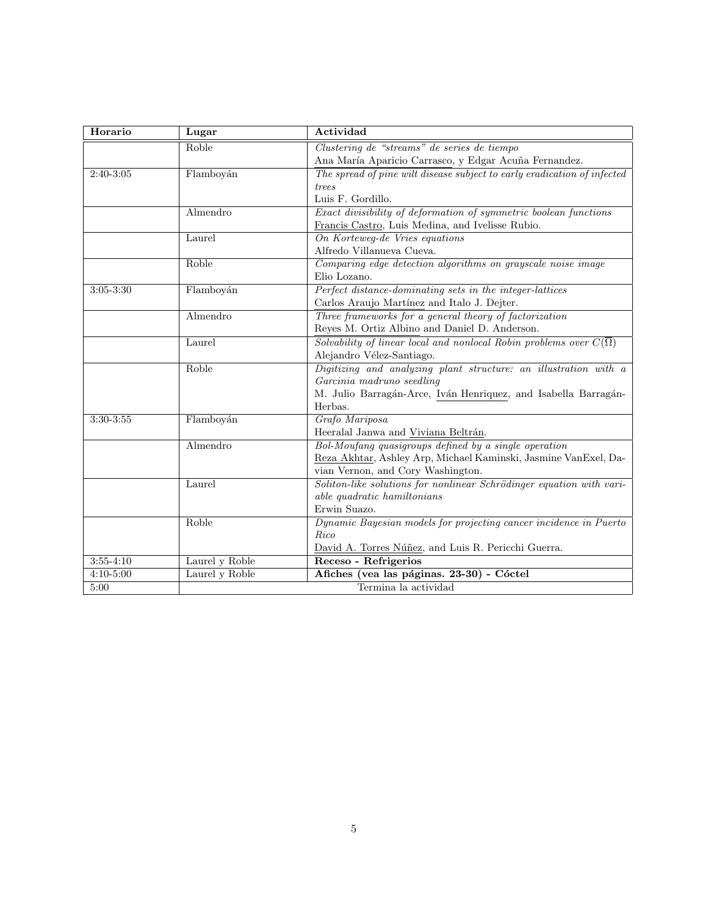| Horario           | Lugar                | Actividad                                                                           |  |
|-------------------|----------------------|-------------------------------------------------------------------------------------|--|
|                   | Roble                | Clustering de "streams" de series de tiempo                                         |  |
|                   |                      | Ana María Aparicio Carrasco, y Edgar Acuña Fernandez.                               |  |
| $2:40-3:05$       | Flamboyán            | The spread of pine wilt disease subject to early eradication of infected            |  |
|                   |                      | trees                                                                               |  |
|                   |                      | Luis F. Gordillo.                                                                   |  |
|                   | Almendro             | Exact divisibility of deformation of symmetric boolean functions                    |  |
|                   |                      | Francis Castro, Luis Medina, and Ivelisse Rubio.                                    |  |
|                   | Laurel               | On Korteweg-de Vries equations                                                      |  |
|                   |                      | Alfredo Villanueva Cueva.                                                           |  |
|                   | Roble                | Comparing edge detection algorithms on grayscale noise image                        |  |
|                   |                      | Elio Lozano.                                                                        |  |
| $3:05 - 3:30$     | Flamboyán            | Perfect distance-dominating sets in the integer-lattices                            |  |
|                   |                      | Carlos Araujo Martínez and Italo J. Dejter.                                         |  |
|                   | Almendro             | Three frameworks for a general theory of factorization                              |  |
|                   |                      | Reyes M. Ortiz Albino and Daniel D. Anderson.                                       |  |
|                   | Laurel               | Solvability of linear local and nonlocal Robin problems over $C(\overline{\Omega})$ |  |
|                   |                      | Alejandro Vélez-Santiago.                                                           |  |
|                   | Roble                | Digitizing and analyzing plant structure: an illustration with a                    |  |
|                   |                      | Garcinia madruno seedling                                                           |  |
|                   |                      | M. Julio Barragán-Arce, Iván Henriquez, and Isabella Barragán-                      |  |
|                   |                      | Herbas.                                                                             |  |
| $3:30-3:55$       | Flamboyán            | Grafo Mariposa                                                                      |  |
|                   |                      | Heeralal Janwa and Viviana Beltrán.                                                 |  |
|                   | Almendro             | Bol-Moufang quasigroups defined by a single operation                               |  |
|                   |                      | Reza Akhtar, Ashley Arp, Michael Kaminski, Jasmine VanExel, Da-                     |  |
|                   |                      | vian Vernon, and Cory Washington.                                                   |  |
|                   | Laurel               | Soliton-like solutions for nonlinear Schrödinger equation with vari-                |  |
|                   |                      | able quadratic hamiltonians                                                         |  |
|                   |                      | Erwin Suazo.                                                                        |  |
|                   | Roble                | Dynamic Bayesian models for projecting cancer incidence in Puerto                   |  |
|                   |                      | Rico                                                                                |  |
|                   |                      | David A. Torres Núñez, and Luis R. Pericchi Guerra.                                 |  |
| $3:55 - 4:10$     | Laurel y Roble       | Receso - Refrigerios                                                                |  |
| $4:10 - 5:00$     | Laurel y Roble       | Afiches (vea las páginas. 23-30) - Cóctel                                           |  |
| $\overline{5:00}$ | Termina la actividad |                                                                                     |  |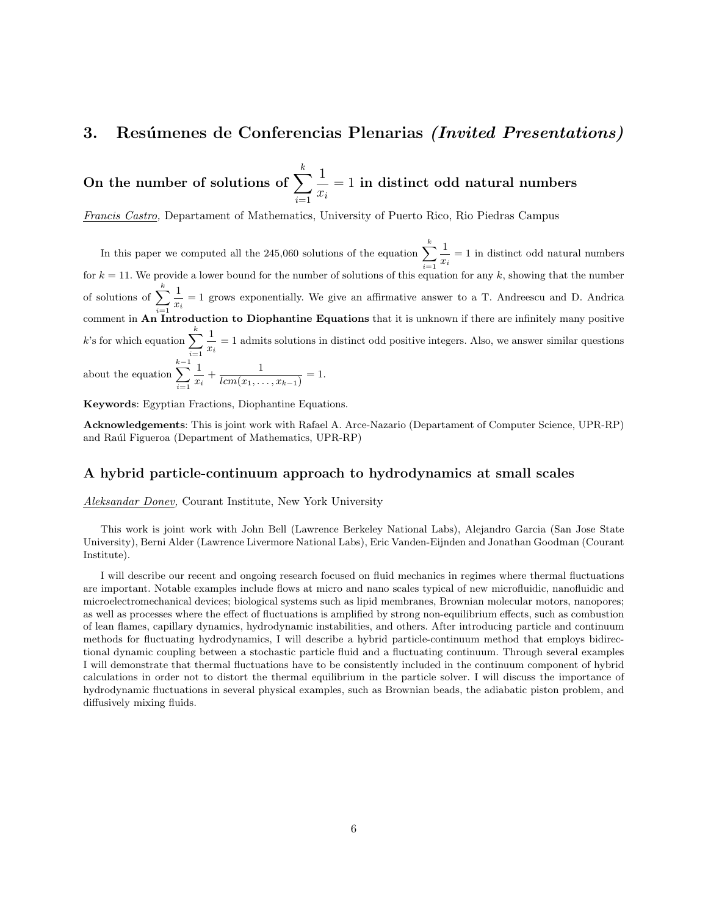# **3.** Resúmenes de Conferencias Plenarias *(Invited Presentations)*

On the number of solutions of  $\sum_{k=1}^{k}$ *i*=1 1 *xi* = 1 **in distinct odd natural numbers**

*Francis Castro,* Departament of Mathematics, University of Puerto Rico, Rio Piedras Campus

In this paper we computed all the 245,060 solutions of the equation  $\sum_{k=1}^{k}$ *i*=1 1  $\frac{1}{x_i} = 1$  in distinct odd natural numbers for *k* = 11. We provide a lower bound for the number of solutions of this equation for any *k*, showing that the number of solutions of  $\sum_{k=1}^{k}$ *i*=1 1  $\frac{1}{x_i}$  = 1 grows exponentially. We give an affirmative answer to a T. Andreescu and D. Andrica comment in **An Introduction to Diophantine Equations** that it is unknown if there are infinitely many positive  $k$ 's for which equation  $\sum_{k=1}^{k}$ *i*=1 1  $\frac{1}{x_i}$  = 1 admits solutions in distinct odd positive integers. Also, we answer similar questions about the equation  $\sum_{}^{k-1}$ *i*=1 1  $\frac{1}{x_i} + \frac{1}{lcm(x_1,...)}$  $\frac{1}{lcm(x_1,\ldots,x_{k-1})} = 1.$ 

**Keywords**: Egyptian Fractions, Diophantine Equations.

**Acknowledgements**: This is joint work with Rafael A. Arce-Nazario (Departament of Computer Science, UPR-RP) and Raúl Figueroa (Department of Mathematics, UPR-RP)

## **A hybrid particle-continuum approach to hydrodynamics at small scales**

*Aleksandar Donev,* Courant Institute, New York University

This work is joint work with John Bell (Lawrence Berkeley National Labs), Alejandro Garcia (San Jose State University), Berni Alder (Lawrence Livermore National Labs), Eric Vanden-Eijnden and Jonathan Goodman (Courant Institute).

I will describe our recent and ongoing research focused on fluid mechanics in regimes where thermal fluctuations are important. Notable examples include flows at micro and nano scales typical of new microfluidic, nanofluidic and microelectromechanical devices; biological systems such as lipid membranes, Brownian molecular motors, nanopores; as well as processes where the effect of fluctuations is amplified by strong non-equilibrium effects, such as combustion of lean flames, capillary dynamics, hydrodynamic instabilities, and others. After introducing particle and continuum methods for fluctuating hydrodynamics, I will describe a hybrid particle-continuum method that employs bidirectional dynamic coupling between a stochastic particle fluid and a fluctuating continuum. Through several examples I will demonstrate that thermal fluctuations have to be consistently included in the continuum component of hybrid calculations in order not to distort the thermal equilibrium in the particle solver. I will discuss the importance of hydrodynamic fluctuations in several physical examples, such as Brownian beads, the adiabatic piston problem, and diffusively mixing fluids.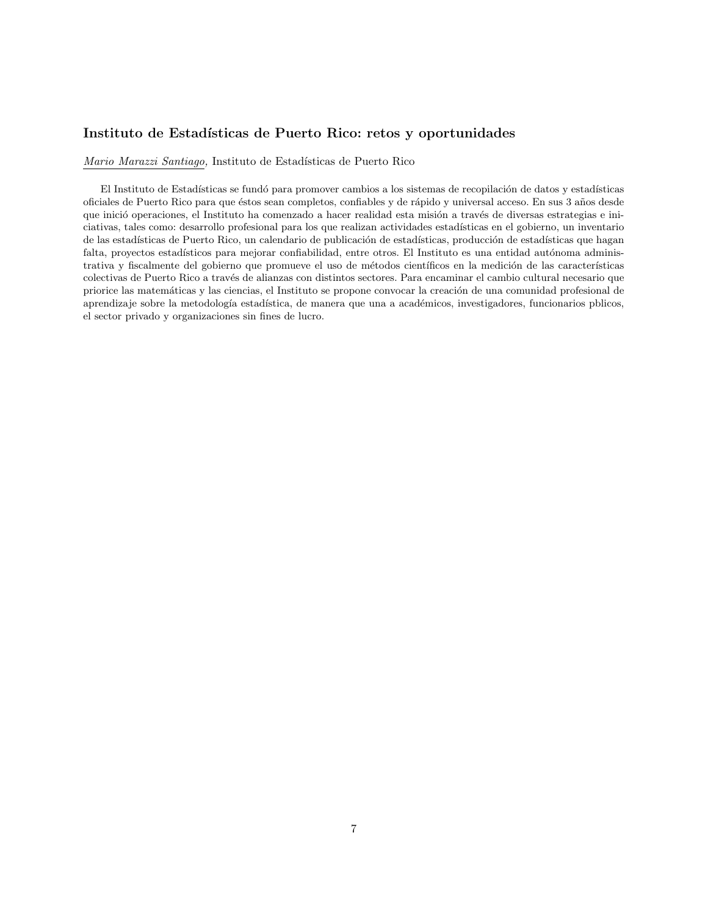# **Instituto de Estad´ısticas de Puerto Rico: retos y oportunidades**

*Mario Marazzi Santiago,* Instituto de Estadísticas de Puerto Rico

El Instituto de Estadísticas se fundó para promover cambios a los sistemas de recopilación de datos y estadísticas oficiales de Puerto Rico para que éstos sean completos, confiables y de rápido y universal acceso. En sus 3 años desde que inició operaciones, el Instituto ha comenzado a hacer realidad esta misión a través de diversas estrategias e iniciativas, tales como: desarrollo profesional para los que realizan actividades estadísticas en el gobierno, un inventario de las estadísticas de Puerto Rico, un calendario de publicación de estadísticas, producción de estadísticas que hagan falta, proyectos estadísticos para mejorar confiabilidad, entre otros. El Instituto es una entidad autónoma administrativa y fiscalmente del gobierno que promueve el uso de métodos científicos en la medición de las características colectivas de Puerto Rico a trav´es de alianzas con distintos sectores. Para encaminar el cambio cultural necesario que priorice las matemáticas y las ciencias, el Instituto se propone convocar la creación de una comunidad profesional de aprendizaje sobre la metodología estadística, de manera que una a académicos, investigadores, funcionarios pblicos, el sector privado y organizaciones sin fines de lucro.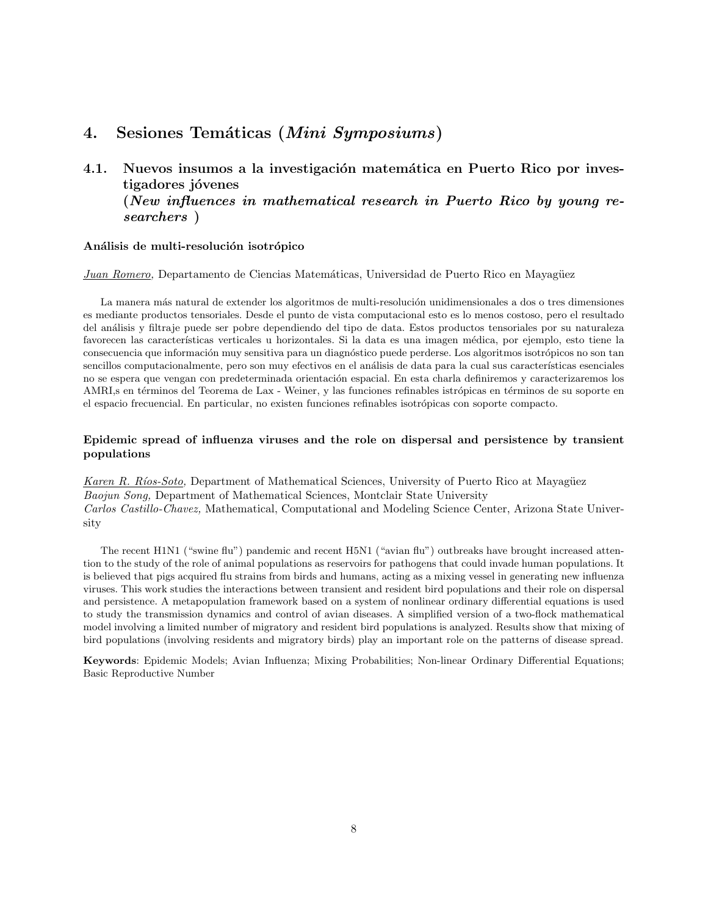# **4. Sesiones Tem´aticas (***Mini Symposiums***)**

4.1. Nuevos insumos a la investigación matemática en Puerto Rico por inves**tigadores j´ovenes (***New influences in mathematical research in Puerto Rico by young researchers* **)**

#### Análisis de multi-resolución isotrópico

*Juan Romero,* Departamento de Ciencias Matemáticas, Universidad de Puerto Rico en Mayagüez

La manera más natural de extender los algoritmos de multi-resolución unidimensionales a dos o tres dimensiones es mediante productos tensoriales. Desde el punto de vista computacional esto es lo menos costoso, pero el resultado del an´alisis y filtraje puede ser pobre dependiendo del tipo de data. Estos productos tensoriales por su naturaleza favorecen las características verticales u horizontales. Si la data es una imagen médica, por ejemplo, esto tiene la consecuencia que información muy sensitiva para un diagnóstico puede perderse. Los algoritmos isotrópicos no son tan sencillos computacionalmente, pero son muy efectivos en el análisis de data para la cual sus características esenciales no se espera que vengan con predeterminada orientación espacial. En esta charla definiremos y caracterizaremos los AMRI, sen términos del Teorema de Lax - Weiner, y las funciones refinables istrópicas en términos de su soporte en el espacio frecuencial. En particular, no existen funciones refinables isotrópicas con soporte compacto.

#### **Epidemic spread of influenza viruses and the role on dispersal and persistence by transient populations**

*Karen R. Ríos-Soto,* Department of Mathematical Sciences, University of Puerto Rico at Mayagüez *Baojun Song,* Department of Mathematical Sciences, Montclair State University *Carlos Castillo-Chavez,* Mathematical, Computational and Modeling Science Center, Arizona State University

The recent H1N1 ("swine flu") pandemic and recent H5N1 ("avian flu") outbreaks have brought increased attention to the study of the role of animal populations as reservoirs for pathogens that could invade human populations. It is believed that pigs acquired flu strains from birds and humans, acting as a mixing vessel in generating new influenza viruses. This work studies the interactions between transient and resident bird populations and their role on dispersal and persistence. A metapopulation framework based on a system of nonlinear ordinary differential equations is used to study the transmission dynamics and control of avian diseases. A simplified version of a two-flock mathematical model involving a limited number of migratory and resident bird populations is analyzed. Results show that mixing of bird populations (involving residents and migratory birds) play an important role on the patterns of disease spread.

**Keywords**: Epidemic Models; Avian Influenza; Mixing Probabilities; Non-linear Ordinary Differential Equations; Basic Reproductive Number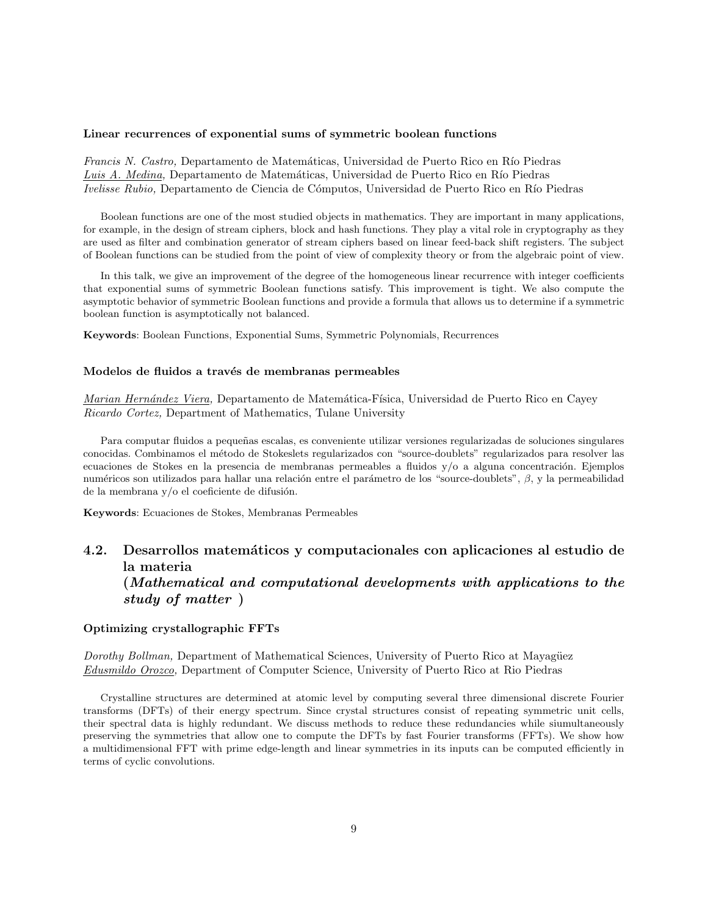#### **Linear recurrences of exponential sums of symmetric boolean functions**

*Francis N. Castro,* Departamento de Matemáticas, Universidad de Puerto Rico en Río Piedras Luis A. Medina, Departamento de Matemáticas, Universidad de Puerto Rico en Río Piedras *Ivelisse Rubio,* Departamento de Ciencia de Cómputos, Universidad de Puerto Rico en Río Piedras

Boolean functions are one of the most studied objects in mathematics. They are important in many applications, for example, in the design of stream ciphers, block and hash functions. They play a vital role in cryptography as they are used as filter and combination generator of stream ciphers based on linear feed-back shift registers. The subject of Boolean functions can be studied from the point of view of complexity theory or from the algebraic point of view.

In this talk, we give an improvement of the degree of the homogeneous linear recurrence with integer coefficients that exponential sums of symmetric Boolean functions satisfy. This improvement is tight. We also compute the asymptotic behavior of symmetric Boolean functions and provide a formula that allows us to determine if a symmetric boolean function is asymptotically not balanced.

**Keywords**: Boolean Functions, Exponential Sums, Symmetric Polynomials, Recurrences

#### Modelos de fluidos a través de membranas permeables

*Marian Hernández Viera, Departamento de Matemática-Física, Universidad de Puerto Rico en Cayey Ricardo Cortez,* Department of Mathematics, Tulane University

Para computar fluidos a pequeñas escalas, es conveniente utilizar versiones regularizadas de soluciones singulares conocidas. Combinamos el m´etodo de Stokeslets regularizados con "source-doublets" regularizados para resolver las ecuaciones de Stokes en la presencia de membranas permeables a fluidos  $y/\circ$  a alguna concentración. Ejemplos numéricos son utilizados para hallar una relación entre el parámetro de los "source-doublets", β, y la permeabilidad de la membrana  $y/o$  el coeficiente de difusión.

**Keywords**: Ecuaciones de Stokes, Membranas Permeables

# **4.2. Desarrollos matem´aticos y computacionales con aplicaciones al estudio de la materia (***Mathematical and computational developments with applications to the study of matter* **)**

#### **Optimizing crystallographic FFTs**

*Dorothy Bollman, Department of Mathematical Sciences, University of Puerto Rico at Mayagüez Edusmildo Orozco,* Department of Computer Science, University of Puerto Rico at Rio Piedras

Crystalline structures are determined at atomic level by computing several three dimensional discrete Fourier transforms (DFTs) of their energy spectrum. Since crystal structures consist of repeating symmetric unit cells, their spectral data is highly redundant. We discuss methods to reduce these redundancies while siumultaneously preserving the symmetries that allow one to compute the DFTs by fast Fourier transforms (FFTs). We show how a multidimensional FFT with prime edge-length and linear symmetries in its inputs can be computed efficiently in terms of cyclic convolutions.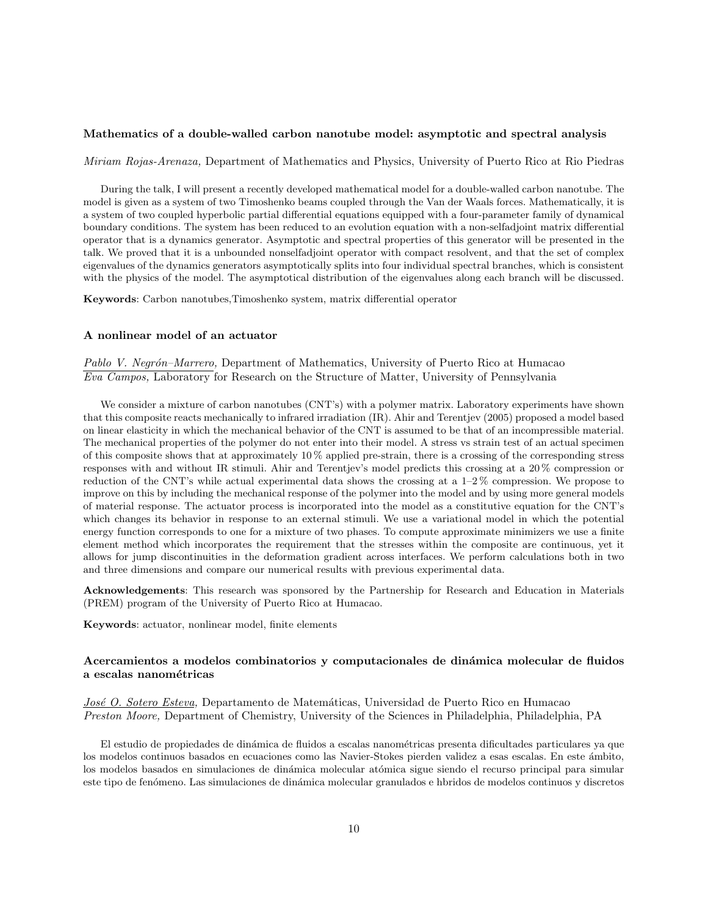#### **Mathematics of a double-walled carbon nanotube model: asymptotic and spectral analysis**

*Miriam Rojas-Arenaza,* Department of Mathematics and Physics, University of Puerto Rico at Rio Piedras

During the talk, I will present a recently developed mathematical model for a double-walled carbon nanotube. The model is given as a system of two Timoshenko beams coupled through the Van der Waals forces. Mathematically, it is a system of two coupled hyperbolic partial differential equations equipped with a four-parameter family of dynamical boundary conditions. The system has been reduced to an evolution equation with a non-selfadjoint matrix differential operator that is a dynamics generator. Asymptotic and spectral properties of this generator will be presented in the talk. We proved that it is a unbounded nonselfadjoint operator with compact resolvent, and that the set of complex eigenvalues of the dynamics generators asymptotically splits into four individual spectral branches, which is consistent with the physics of the model. The asymptotical distribution of the eigenvalues along each branch will be discussed.

**Keywords**: Carbon nanotubes,Timoshenko system, matrix differential operator

#### **A nonlinear model of an actuator**

Pablo V. Negrón–Marrero, Department of Mathematics, University of Puerto Rico at Humacao *Eva Campos,* Laboratory for Research on the Structure of Matter, University of Pennsylvania

We consider a mixture of carbon nanotubes (CNT's) with a polymer matrix. Laboratory experiments have shown that this composite reacts mechanically to infrared irradiation (IR). Ahir and Terentjev (2005) proposed a model based on linear elasticity in which the mechanical behavior of the CNT is assumed to be that of an incompressible material. The mechanical properties of the polymer do not enter into their model. A stress vs strain test of an actual specimen of this composite shows that at approximately 10 % applied pre-strain, there is a crossing of the corresponding stress responses with and without IR stimuli. Ahir and Terentjev's model predicts this crossing at a 20 % compression or reduction of the CNT's while actual experimental data shows the crossing at a 1–2 % compression. We propose to improve on this by including the mechanical response of the polymer into the model and by using more general models of material response. The actuator process is incorporated into the model as a constitutive equation for the CNT's which changes its behavior in response to an external stimuli. We use a variational model in which the potential energy function corresponds to one for a mixture of two phases. To compute approximate minimizers we use a finite element method which incorporates the requirement that the stresses within the composite are continuous, yet it allows for jump discontinuities in the deformation gradient across interfaces. We perform calculations both in two and three dimensions and compare our numerical results with previous experimental data.

**Acknowledgements**: This research was sponsored by the Partnership for Research and Education in Materials (PREM) program of the University of Puerto Rico at Humacao.

**Keywords**: actuator, nonlinear model, finite elements

#### Acercamientos a modelos combinatorios y computacionales de dinámica molecular de fluidos **a escalas nanom´etricas**

*Jos´e O. Sotero Esteva,* Departamento de Matem´aticas, Universidad de Puerto Rico en Humacao *Preston Moore,* Department of Chemistry, University of the Sciences in Philadelphia, Philadelphia, PA

El estudio de propiedades de dinámica de fluidos a escalas nanométricas presenta dificultades particulares ya que los modelos continuos basados en ecuaciones como las Navier-Stokes pierden validez a esas escalas. En este ámbito, los modelos basados en simulaciones de dinámica molecular atómica sigue siendo el recurso principal para simular este tipo de fenómeno. Las simulaciones de dinámica molecular granulados e hbridos de modelos continuos y discretos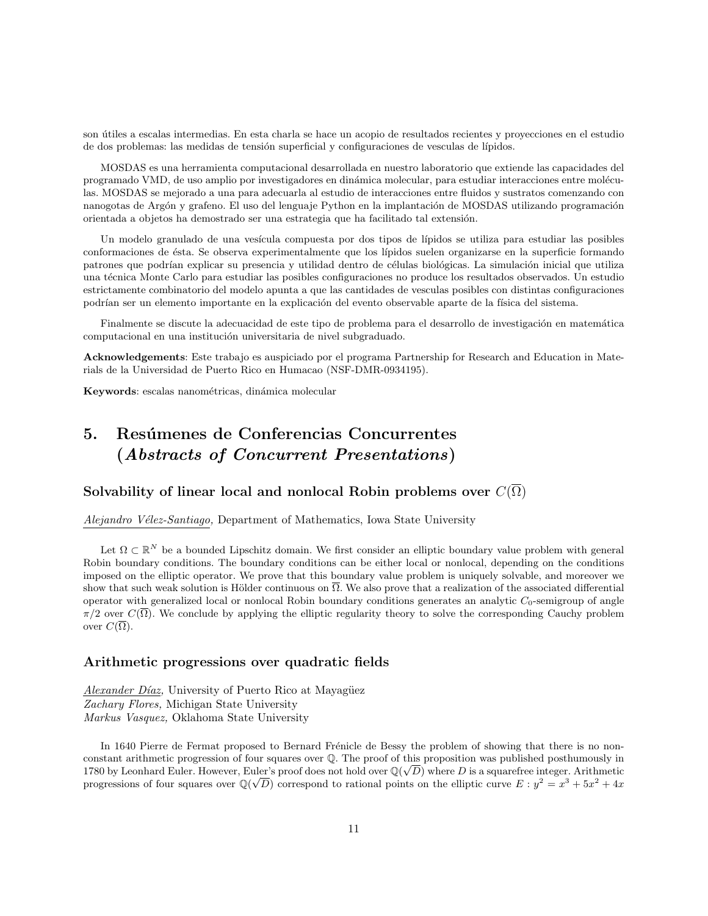son útiles a escalas intermedias. En esta charla se hace un acopio de resultados recientes y proyecciones en el estudio de dos problemas: las medidas de tensión superficial y configuraciones de vesculas de lípidos.

MOSDAS es una herramienta computacional desarrollada en nuestro laboratorio que extiende las capacidades del programado VMD, de uso amplio por investigadores en dinámica molecular, para estudiar interacciones entre moléculas. MOSDAS se mejorado a una para adecuarla al estudio de interacciones entre fluidos y sustratos comenzando con nanogotas de Argón y grafeno. El uso del lenguaje Python en la implantación de MOSDAS utilizando programación orientada a objetos ha demostrado ser una estrategia que ha facilitado tal extensión.

Un modelo granulado de una vesícula compuesta por dos tipos de lípidos se utiliza para estudiar las posibles conformaciones de ´esta. Se observa experimentalmente que los l´ıpidos suelen organizarse en la superficie formando patrones que podrían explicar su presencia y utilidad dentro de células biológicas. La simulación inicial que utiliza una técnica Monte Carlo para estudiar las posibles configuraciones no produce los resultados observados. Un estudio estrictamente combinatorio del modelo apunta a que las cantidades de vesculas posibles con distintas configuraciones podrían ser un elemento importante en la explicación del evento observable aparte de la física del sistema.

Finalmente se discute la adecuacidad de este tipo de problema para el desarrollo de investigación en matemática computacional en una institución universitaria de nivel subgraduado.

**Acknowledgements**: Este trabajo es auspiciado por el programa Partnership for Research and Education in Materials de la Universidad de Puerto Rico en Humacao (NSF-DMR-0934195).

Keywords: escalas nanométricas, dinámica molecular

# **5. Resúmenes de Conferencias Concurrentes (***Abstracts of Concurrent Presentations***)**

# **Solvability of linear local and nonlocal Robin problems over**  $C(\overline{\Omega})$

*Alejandro V´elez-Santiago,* Department of Mathematics, Iowa State University

Let  $\Omega \subset \mathbb{R}^N$  be a bounded Lipschitz domain. We first consider an elliptic boundary value problem with general Robin boundary conditions. The boundary conditions can be either local or nonlocal, depending on the conditions imposed on the elliptic operator. We prove that this boundary value problem is uniquely solvable, and moreover we show that such weak solution is Hölder continuous on  $\Omega$ . We also prove that a realization of the associated differential operator with generalized local or nonlocal Robin boundary conditions generates an analytic  $C_0$ -semigroup of angle  $\pi/2$  over  $C(\overline{\Omega})$ . We conclude by applying the elliptic regularity theory to solve the corresponding Cauchy problem over  $C(\overline{\Omega})$ .

#### **Arithmetic progressions over quadratic fields**

*Alexander Díaz*, University of Puerto Rico at Mayagüez *Zachary Flores,* Michigan State University *Markus Vasquez,* Oklahoma State University

In 1640 Pierre de Fermat proposed to Bernard Frénicle de Bessy the problem of showing that there is no nonconstant arithmetic progression of four squares over Q. The proof of this proposition was published posthumously in *√* 1780 by Leonhard Euler. However, Euler's proof does not hold over  $\mathbb{Q}(\sqrt{D})$  where *D* is a squarefree integer. Arithmetic progressions of four squares over  $\mathbb{Q}(\sqrt{D})$  correspond to rational points on the elliptic curve  $E: y^2 = x^3 + 5x^2 + 4x$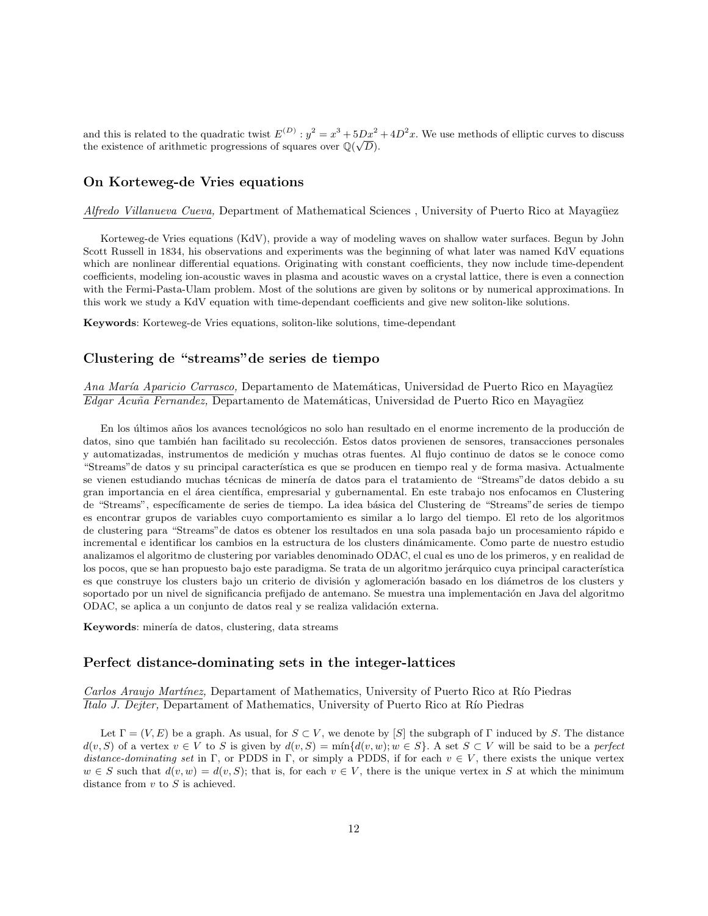and this is related to the quadratic twist  $E^{(D)}$ :  $y^2 = x^3 + 5Dx^2 + 4D^2x$ . We use methods of elliptic curves to discuss the existence of arithmetic progressions of squares over  $\mathbb{Q}(\sqrt{D})$ .

# **On Korteweg-de Vries equations**

*Alfredo Villanueva Cueva,* Department of Mathematical Sciences, University of Puerto Rico at Mayagüez

Korteweg-de Vries equations (KdV), provide a way of modeling waves on shallow water surfaces. Begun by John Scott Russell in 1834, his observations and experiments was the beginning of what later was named KdV equations which are nonlinear differential equations. Originating with constant coefficients, they now include time-dependent coefficients, modeling ion-acoustic waves in plasma and acoustic waves on a crystal lattice, there is even a connection with the Fermi-Pasta-Ulam problem. Most of the solutions are given by solitons or by numerical approximations. In this work we study a KdV equation with time-dependant coefficients and give new soliton-like solutions.

**Keywords**: Korteweg-de Vries equations, soliton-like solutions, time-dependant

# **Clustering de "streams"de series de tiempo**

*Ana María Aparicio Carrasco,* Departamento de Matemáticas, Universidad de Puerto Rico en Mayagüez *Edgar Acuña Fernandez, Departamento de Matemáticas, Universidad de Puerto Rico en Mayagüez* 

En los últimos años los avances tecnológicos no solo han resultado en el enorme incremento de la producción de datos, sino que también han facilitado su recolección. Estos datos provienen de sensores, transacciones personales y automatizadas, instrumentos de medición y muchas otras fuentes. Al flujo continuo de datos se le conoce como "Streams" de datos y su principal característica es que se producen en tiempo real y de forma masiva. Actualmente se vienen estudiando muchas técnicas de minería de datos para el tratamiento de "Streams" de datos debido a su gran importancia en el área científica, empresarial y gubernamental. En este trabajo nos enfocamos en Clustering de "Streams", específicamente de series de tiempo. La idea básica del Clustering de "Streams" de series de tiempo es encontrar grupos de variables cuyo comportamiento es similar a lo largo del tiempo. El reto de los algoritmos de clustering para "Streams"de datos es obtener los resultados en una sola pasada bajo un procesamiento r´apido e incremental e identificar los cambios en la estructura de los clusters din´amicamente. Como parte de nuestro estudio analizamos el algoritmo de clustering por variables denominado ODAC, el cual es uno de los primeros, y en realidad de los pocos, que se han propuesto bajo este paradigma. Se trata de un algoritmo jerárquico cuya principal característica es que construye los clusters bajo un criterio de división y aglomeración basado en los diámetros de los clusters y soportado por un nivel de significancia prefijado de antemano. Se muestra una implementación en Java del algoritmo ODAC, se aplica a un conjunto de datos real y se realiza validación externa.

Keywords: minería de datos, clustering, data streams

#### **Perfect distance-dominating sets in the integer-lattices**

*Carlos Araujo Martínez, Departament of Mathematics, University of Puerto Rico at Río Piedras Italo J. Dejter,* Departament of Mathematics, University of Puerto Rico at Río Piedras

Let  $\Gamma = (V, E)$  be a graph. As usual, for  $S \subset V$ , we denote by [*S*] the subgraph of  $\Gamma$  induced by *S*. The distance  $d(v, S)$  of a vertex  $v \in V$  to S is given by  $d(v, S) = \min\{d(v, w): w \in S\}$ . A set  $S \subset V$  will be said to be a perfect *distance-dominating set* in Γ, or PDDS in Γ, or simply a PDDS, if for each  $v \in V$ , there exists the unique vertex *w* ∈ *S* such that  $d(v, w) = d(v, S)$ ; that is, for each  $v \in V$ , there is the unique vertex in *S* at which the minimum distance from *v* to *S* is achieved.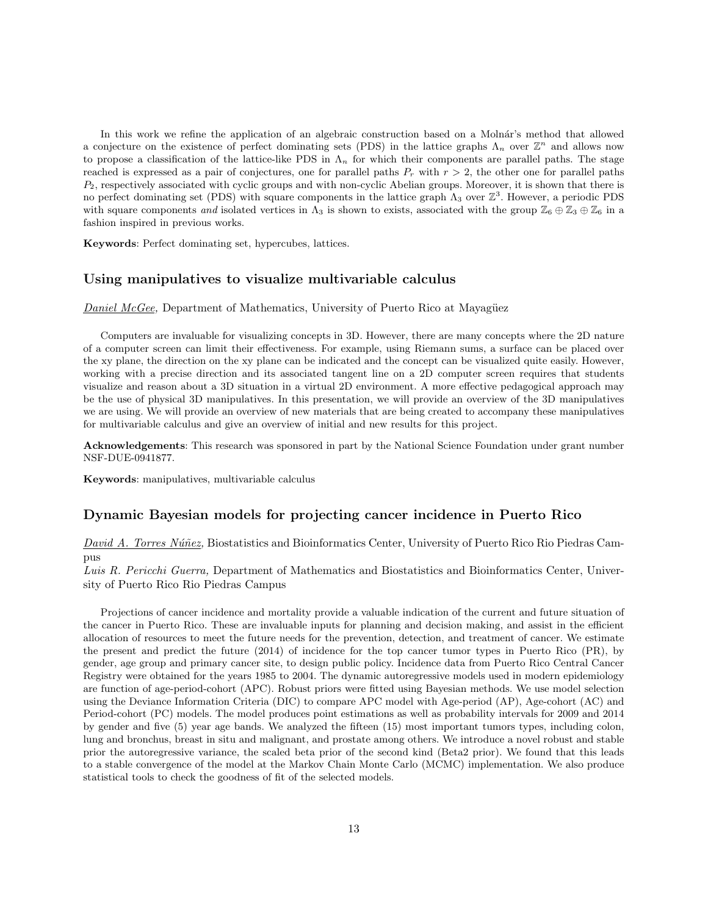In this work we refine the application of an algebraic construction based on a Molnár's method that allowed a conjecture on the existence of perfect dominating sets (PDS) in the lattice graphs  $\Lambda_n$  over  $\mathbb{Z}^n$  and allows now to propose a classification of the lattice-like PDS in  $\Lambda_n$  for which their components are parallel paths. The stage reached is expressed as a pair of conjectures, one for parallel paths  $P_r$  with  $r > 2$ , the other one for parallel paths *P*2, respectively associated with cyclic groups and with non-cyclic Abelian groups. Moreover, it is shown that there is no perfect dominating set (PDS) with square components in the lattice graph  $\Lambda_3$  over  $\mathbb{Z}^3$ . However, a periodic PDS with square components *and* isolated vertices in  $\Lambda_3$  is shown to exists, associated with the group  $\mathbb{Z}_6 \oplus \mathbb{Z}_3 \oplus \mathbb{Z}_6$  in a fashion inspired in previous works.

**Keywords**: Perfect dominating set, hypercubes, lattices.

#### **Using manipulatives to visualize multivariable calculus**

#### *Daniel McGee,* Department of Mathematics, University of Puerto Rico at Mayagüez

Computers are invaluable for visualizing concepts in 3D. However, there are many concepts where the 2D nature of a computer screen can limit their effectiveness. For example, using Riemann sums, a surface can be placed over the xy plane, the direction on the xy plane can be indicated and the concept can be visualized quite easily. However, working with a precise direction and its associated tangent line on a 2D computer screen requires that students visualize and reason about a 3D situation in a virtual 2D environment. A more effective pedagogical approach may be the use of physical 3D manipulatives. In this presentation, we will provide an overview of the 3D manipulatives we are using. We will provide an overview of new materials that are being created to accompany these manipulatives for multivariable calculus and give an overview of initial and new results for this project.

**Acknowledgements**: This research was sponsored in part by the National Science Foundation under grant number NSF-DUE-0941877.

**Keywords**: manipulatives, multivariable calculus

#### **Dynamic Bayesian models for projecting cancer incidence in Puerto Rico**

*David A. Torres N´u˜nez,* Biostatistics and Bioinformatics Center, University of Puerto Rico Rio Piedras Campus

*Luis R. Pericchi Guerra,* Department of Mathematics and Biostatistics and Bioinformatics Center, University of Puerto Rico Rio Piedras Campus

Projections of cancer incidence and mortality provide a valuable indication of the current and future situation of the cancer in Puerto Rico. These are invaluable inputs for planning and decision making, and assist in the efficient allocation of resources to meet the future needs for the prevention, detection, and treatment of cancer. We estimate the present and predict the future (2014) of incidence for the top cancer tumor types in Puerto Rico (PR), by gender, age group and primary cancer site, to design public policy. Incidence data from Puerto Rico Central Cancer Registry were obtained for the years 1985 to 2004. The dynamic autoregressive models used in modern epidemiology are function of age-period-cohort (APC). Robust priors were fitted using Bayesian methods. We use model selection using the Deviance Information Criteria (DIC) to compare APC model with Age-period (AP), Age-cohort (AC) and Period-cohort (PC) models. The model produces point estimations as well as probability intervals for 2009 and 2014 by gender and five (5) year age bands. We analyzed the fifteen (15) most important tumors types, including colon, lung and bronchus, breast in situ and malignant, and prostate among others. We introduce a novel robust and stable prior the autoregressive variance, the scaled beta prior of the second kind (Beta2 prior). We found that this leads to a stable convergence of the model at the Markov Chain Monte Carlo (MCMC) implementation. We also produce statistical tools to check the goodness of fit of the selected models.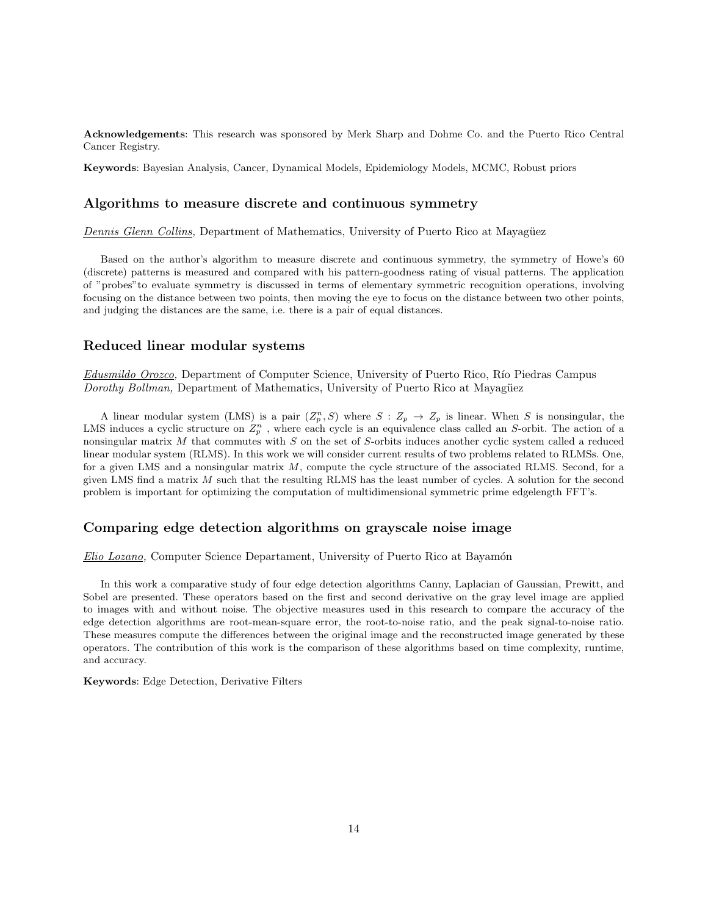**Acknowledgements**: This research was sponsored by Merk Sharp and Dohme Co. and the Puerto Rico Central Cancer Registry.

**Keywords**: Bayesian Analysis, Cancer, Dynamical Models, Epidemiology Models, MCMC, Robust priors

#### **Algorithms to measure discrete and continuous symmetry**

*Dennis Glenn Collins, Department of Mathematics, University of Puerto Rico at Mayagüez* 

Based on the author's algorithm to measure discrete and continuous symmetry, the symmetry of Howe's 60 (discrete) patterns is measured and compared with his pattern-goodness rating of visual patterns. The application of "probes"to evaluate symmetry is discussed in terms of elementary symmetric recognition operations, involving focusing on the distance between two points, then moving the eye to focus on the distance between two other points, and judging the distances are the same, i.e. there is a pair of equal distances.

#### **Reduced linear modular systems**

*Edusmildo Orozco*, Department of Computer Science, University of Puerto Rico, Río Piedras Campus *Dorothy Bollman,* Department of Mathematics, University of Puerto Rico at Mayagüez

A linear modular system (LMS) is a pair  $(Z_p^n, S)$  where  $S: Z_p \to Z_p$  is linear. When *S* is nonsingular, the LMS induces a cyclic structure on  $Z_p^n$ , where each cycle is an equivalence class called an *S*-orbit. The action of a nonsingular matrix *M* that commutes with *S* on the set of *S*-orbits induces another cyclic system called a reduced linear modular system (RLMS). In this work we will consider current results of two problems related to RLMSs. One, for a given LMS and a nonsingular matrix *M*, compute the cycle structure of the associated RLMS. Second, for a given LMS find a matrix *M* such that the resulting RLMS has the least number of cycles. A solution for the second problem is important for optimizing the computation of multidimensional symmetric prime edgelength FFT's.

### **Comparing edge detection algorithms on grayscale noise image**

**Elio Lozano**, Computer Science Departament, University of Puerto Rico at Bayamón

In this work a comparative study of four edge detection algorithms Canny, Laplacian of Gaussian, Prewitt, and Sobel are presented. These operators based on the first and second derivative on the gray level image are applied to images with and without noise. The objective measures used in this research to compare the accuracy of the edge detection algorithms are root-mean-square error, the root-to-noise ratio, and the peak signal-to-noise ratio. These measures compute the differences between the original image and the reconstructed image generated by these operators. The contribution of this work is the comparison of these algorithms based on time complexity, runtime, and accuracy.

**Keywords**: Edge Detection, Derivative Filters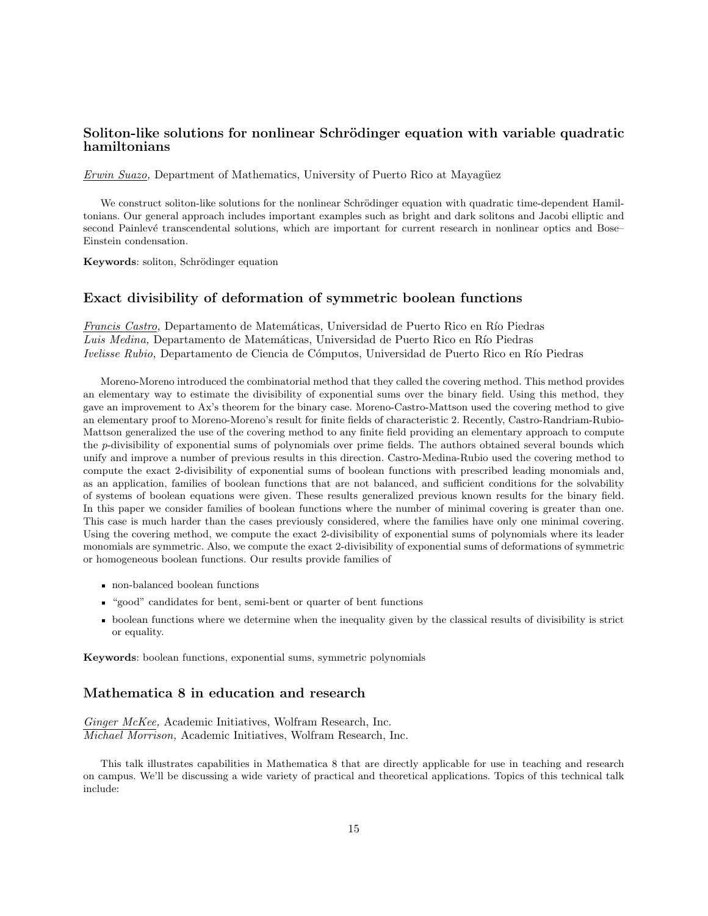# **Soliton-like solutions for nonlinear Schrödinger equation with variable quadratic hamiltonians**

*Erwin Suazo*, Department of Mathematics, University of Puerto Rico at Mayagüez

We construct soliton-like solutions for the nonlinear Schrödinger equation with quadratic time-dependent Hamiltonians. Our general approach includes important examples such as bright and dark solitons and Jacobi elliptic and second Painlevé transcendental solutions, which are important for current research in nonlinear optics and Bose– Einstein condensation.

Keywords: soliton, Schrödinger equation

# **Exact divisibility of deformation of symmetric boolean functions**

*Francis Castro,* Departamento de Matemáticas, Universidad de Puerto Rico en Río Piedras Luis Medina, Departamento de Matemáticas, Universidad de Puerto Rico en Río Piedras *Ivelisse Rubio,* Departamento de Ciencia de Cómputos, Universidad de Puerto Rico en Río Piedras

Moreno-Moreno introduced the combinatorial method that they called the covering method. This method provides an elementary way to estimate the divisibility of exponential sums over the binary field. Using this method, they gave an improvement to Ax's theorem for the binary case. Moreno-Castro-Mattson used the covering method to give an elementary proof to Moreno-Moreno's result for finite fields of characteristic 2. Recently, Castro-Randriam-Rubio-Mattson generalized the use of the covering method to any finite field providing an elementary approach to compute the *p*-divisibility of exponential sums of polynomials over prime fields. The authors obtained several bounds which unify and improve a number of previous results in this direction. Castro-Medina-Rubio used the covering method to compute the exact 2-divisibility of exponential sums of boolean functions with prescribed leading monomials and, as an application, families of boolean functions that are not balanced, and sufficient conditions for the solvability of systems of boolean equations were given. These results generalized previous known results for the binary field. In this paper we consider families of boolean functions where the number of minimal covering is greater than one. This case is much harder than the cases previously considered, where the families have only one minimal covering. Using the covering method, we compute the exact 2-divisibility of exponential sums of polynomials where its leader monomials are symmetric. Also, we compute the exact 2-divisibility of exponential sums of deformations of symmetric or homogeneous boolean functions. Our results provide families of

- non-balanced boolean functions
- "good" candidates for bent, semi-bent or quarter of bent functions
- boolean functions where we determine when the inequality given by the classical results of divisibility is strict or equality.

**Keywords**: boolean functions, exponential sums, symmetric polynomials

# **Mathematica 8 in education and research**

*Ginger McKee,* Academic Initiatives, Wolfram Research, Inc. *Michael Morrison,* Academic Initiatives, Wolfram Research, Inc.

This talk illustrates capabilities in Mathematica 8 that are directly applicable for use in teaching and research on campus. We'll be discussing a wide variety of practical and theoretical applications. Topics of this technical talk include: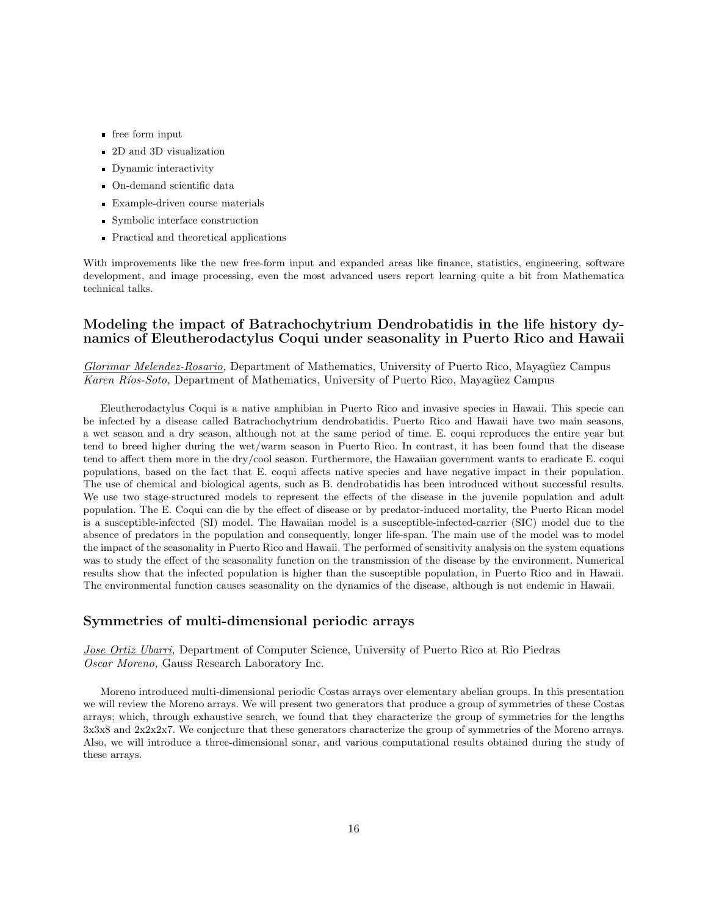- free form input
- 2D and 3D visualization
- Dynamic interactivity
- On-demand scientific data
- Example-driven course materials
- Symbolic interface construction
- Practical and theoretical applications

With improvements like the new free-form input and expanded areas like finance, statistics, engineering, software development, and image processing, even the most advanced users report learning quite a bit from Mathematica technical talks.

# **Modeling the impact of Batrachochytrium Dendrobatidis in the life history dynamics of Eleutherodactylus Coqui under seasonality in Puerto Rico and Hawaii**

*Glorimar Melendez-Rosario,* Department of Mathematics, University of Puerto Rico, Mayagüez Campus *Karen Ríos-Soto,* Department of Mathematics, University of Puerto Rico, Mayagüez Campus

Eleutherodactylus Coqui is a native amphibian in Puerto Rico and invasive species in Hawaii. This specie can be infected by a disease called Batrachochytrium dendrobatidis. Puerto Rico and Hawaii have two main seasons, a wet season and a dry season, although not at the same period of time. E. coqui reproduces the entire year but tend to breed higher during the wet/warm season in Puerto Rico. In contrast, it has been found that the disease tend to affect them more in the dry/cool season. Furthermore, the Hawaiian government wants to eradicate E. coqui populations, based on the fact that E. coqui affects native species and have negative impact in their population. The use of chemical and biological agents, such as B. dendrobatidis has been introduced without successful results. We use two stage-structured models to represent the effects of the disease in the juvenile population and adult population. The E. Coqui can die by the effect of disease or by predator-induced mortality, the Puerto Rican model is a susceptible-infected (SI) model. The Hawaiian model is a susceptible-infected-carrier (SIC) model due to the absence of predators in the population and consequently, longer life-span. The main use of the model was to model the impact of the seasonality in Puerto Rico and Hawaii. The performed of sensitivity analysis on the system equations was to study the effect of the seasonality function on the transmission of the disease by the environment. Numerical results show that the infected population is higher than the susceptible population, in Puerto Rico and in Hawaii. The environmental function causes seasonality on the dynamics of the disease, although is not endemic in Hawaii.

#### **Symmetries of multi-dimensional periodic arrays**

*Jose Ortiz Ubarri,* Department of Computer Science, University of Puerto Rico at Rio Piedras *Oscar Moreno,* Gauss Research Laboratory Inc.

Moreno introduced multi-dimensional periodic Costas arrays over elementary abelian groups. In this presentation we will review the Moreno arrays. We will present two generators that produce a group of symmetries of these Costas arrays; which, through exhaustive search, we found that they characterize the group of symmetries for the lengths 3x3x8 and 2x2x2x7. We conjecture that these generators characterize the group of symmetries of the Moreno arrays. Also, we will introduce a three-dimensional sonar, and various computational results obtained during the study of these arrays.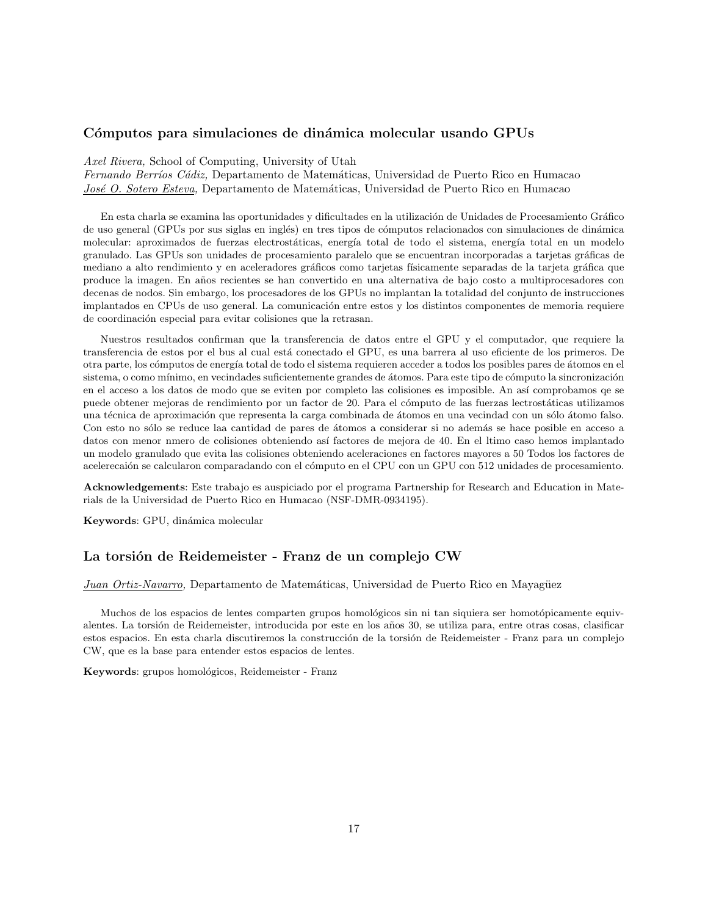# Cómputos para simulaciones de dinámica molecular usando GPUs

*Axel Rivera,* School of Computing, University of Utah

*Fernando Berríos Cádiz*, Departamento de Matemáticas, Universidad de Puerto Rico en Humacao *Jos´e O. Sotero Esteva,* Departamento de Matem´aticas, Universidad de Puerto Rico en Humacao

En esta charla se examina las oportunidades y dificultades en la utilización de Unidades de Procesamiento Gráfico de uso general (GPUs por sus siglas en inglés) en tres tipos de cómputos relacionados con simulaciones de dinámica molecular: aproximados de fuerzas electrostáticas, energía total de todo el sistema, energía total en un modelo granulado. Las GPUs son unidades de procesamiento paralelo que se encuentran incorporadas a tarjetas gráficas de mediano a alto rendimiento y en aceleradores gráficos como tarjetas físicamente separadas de la tarjeta gráfica que produce la imagen. En a˜nos recientes se han convertido en una alternativa de bajo costo a multiprocesadores con decenas de nodos. Sin embargo, los procesadores de los GPUs no implantan la totalidad del conjunto de instrucciones implantados en CPUs de uso general. La comunicación entre estos y los distintos componentes de memoria requiere de coordinación especial para evitar colisiones que la retrasan.

Nuestros resultados confirman que la transferencia de datos entre el GPU y el computador, que requiere la transferencia de estos por el bus al cual está conectado el GPU, es una barrera al uso eficiente de los primeros. De otra parte, los cómputos de energía total de todo el sistema requieren acceder a todos los posibles pares de átomos en el sistema, o como mínimo, en vecindades suficientemente grandes de átomos. Para este tipo de cómputo la sincronización en el acceso a los datos de modo que se eviten por completo las colisiones es imposible. An as´ı comprobamos qe se puede obtener mejoras de rendimiento por un factor de 20. Para el cómputo de las fuerzas lectrostáticas utilizamos una técnica de aproximación que representa la carga combinada de átomos en una vecindad con un sólo átomo falso. Con esto no sólo se reduce laa cantidad de pares de átomos a considerar si no además se hace posible en acceso a datos con menor nmero de colisiones obteniendo así factores de mejora de 40. En el ltimo caso hemos implantado un modelo granulado que evita las colisiones obteniendo aceleraciones en factores mayores a 50 Todos los factores de acelerecaión se calcularon comparadando con el cómputo en el CPU con un GPU con 512 unidades de procesamiento.

**Acknowledgements**: Este trabajo es auspiciado por el programa Partnership for Research and Education in Materials de la Universidad de Puerto Rico en Humacao (NSF-DMR-0934195).

Keywords: GPU, dinámica molecular

# La torsión de Reidemeister - Franz de un complejo CW

#### *Juan Ortiz-Navarro*, Departamento de Matemáticas, Universidad de Puerto Rico en Mayagüez

Muchos de los espacios de lentes comparten grupos homológicos sin ni tan siquiera ser homotópicamente equivalentes. La torsión de Reidemeister, introducida por este en los años 30, se utiliza para, entre otras cosas, clasificar estos espacios. En esta charla discutiremos la construcción de la torsión de Reidemeister - Franz para un complejo CW, que es la base para entender estos espacios de lentes.

**Keywords**: grupos homológicos, Reidemeister - Franz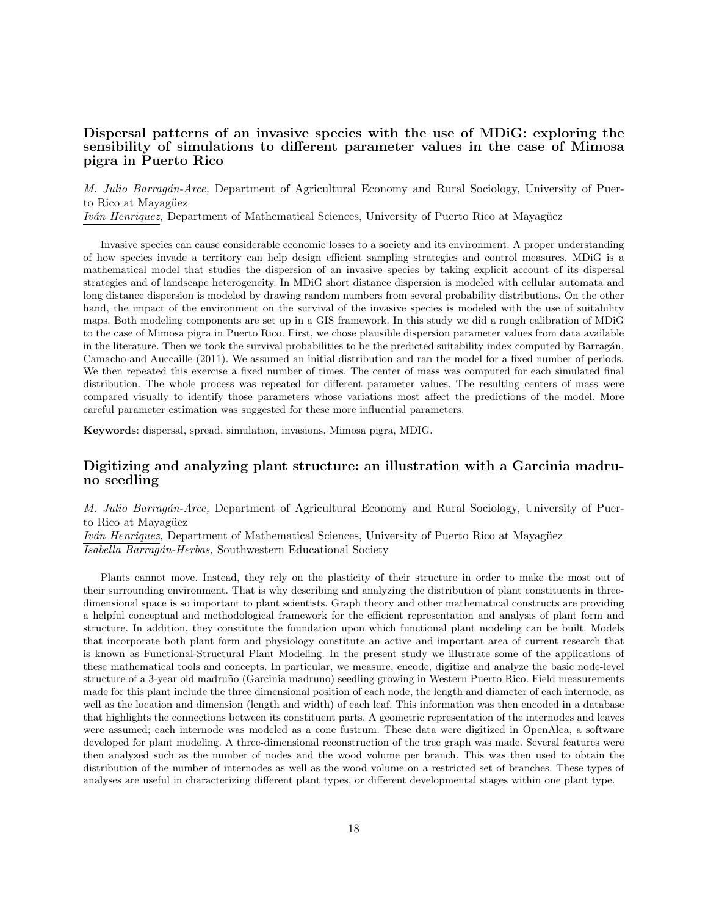# **Dispersal patterns of an invasive species with the use of MDiG: exploring the sensibility of simulations to different parameter values in the case of Mimosa pigra in Puerto Rico**

*M. Julio Barrag´an-Arce,* Department of Agricultural Economy and Rural Sociology, University of Puerto Rico at Mayagüez *Iván Henriquez,* Department of Mathematical Sciences, University of Puerto Rico at Mayagüez

Invasive species can cause considerable economic losses to a society and its environment. A proper understanding of how species invade a territory can help design efficient sampling strategies and control measures. MDiG is a mathematical model that studies the dispersion of an invasive species by taking explicit account of its dispersal strategies and of landscape heterogeneity. In MDiG short distance dispersion is modeled with cellular automata and long distance dispersion is modeled by drawing random numbers from several probability distributions. On the other hand, the impact of the environment on the survival of the invasive species is modeled with the use of suitability maps. Both modeling components are set up in a GIS framework. In this study we did a rough calibration of MDiG to the case of Mimosa pigra in Puerto Rico. First, we chose plausible dispersion parameter values from data available in the literature. Then we took the survival probabilities to be the predicted suitability index computed by Barragán, Camacho and Auccaille (2011). We assumed an initial distribution and ran the model for a fixed number of periods. We then repeated this exercise a fixed number of times. The center of mass was computed for each simulated final distribution. The whole process was repeated for different parameter values. The resulting centers of mass were compared visually to identify those parameters whose variations most affect the predictions of the model. More careful parameter estimation was suggested for these more influential parameters.

**Keywords**: dispersal, spread, simulation, invasions, Mimosa pigra, MDIG.

# **Digitizing and analyzing plant structure: an illustration with a Garcinia madruno seedling**

*M. Julio Barrag´an-Arce,* Department of Agricultural Economy and Rural Sociology, University of Puerto Rico at Mayagüez

*Iván Henriquez*, Department of Mathematical Sciences, University of Puerto Rico at Mayagüez *Isabella Barrag´an-Herbas,* Southwestern Educational Society

Plants cannot move. Instead, they rely on the plasticity of their structure in order to make the most out of their surrounding environment. That is why describing and analyzing the distribution of plant constituents in threedimensional space is so important to plant scientists. Graph theory and other mathematical constructs are providing a helpful conceptual and methodological framework for the efficient representation and analysis of plant form and structure. In addition, they constitute the foundation upon which functional plant modeling can be built. Models that incorporate both plant form and physiology constitute an active and important area of current research that is known as Functional-Structural Plant Modeling. In the present study we illustrate some of the applications of these mathematical tools and concepts. In particular, we measure, encode, digitize and analyze the basic node-level structure of a 3-year old madruño (Garcinia madruno) seedling growing in Western Puerto Rico. Field measurements made for this plant include the three dimensional position of each node, the length and diameter of each internode, as well as the location and dimension (length and width) of each leaf. This information was then encoded in a database that highlights the connections between its constituent parts. A geometric representation of the internodes and leaves were assumed; each internode was modeled as a cone fustrum. These data were digitized in OpenAlea, a software developed for plant modeling. A three-dimensional reconstruction of the tree graph was made. Several features were then analyzed such as the number of nodes and the wood volume per branch. This was then used to obtain the distribution of the number of internodes as well as the wood volume on a restricted set of branches. These types of analyses are useful in characterizing different plant types, or different developmental stages within one plant type.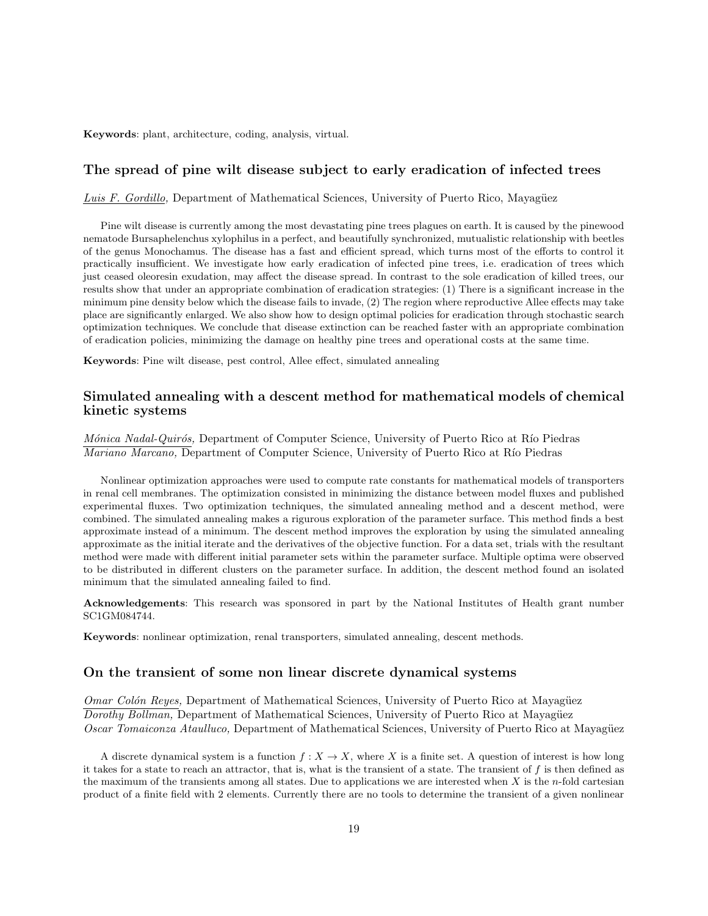**Keywords**: plant, architecture, coding, analysis, virtual.

#### **The spread of pine wilt disease subject to early eradication of infected trees**

*Luis F. Gordillo,* Department of Mathematical Sciences, University of Puerto Rico, Mayagüez

Pine wilt disease is currently among the most devastating pine trees plagues on earth. It is caused by the pinewood nematode Bursaphelenchus xylophilus in a perfect, and beautifully synchronized, mutualistic relationship with beetles of the genus Monochamus. The disease has a fast and efficient spread, which turns most of the efforts to control it practically insufficient. We investigate how early eradication of infected pine trees, i.e. eradication of trees which just ceased oleoresin exudation, may affect the disease spread. In contrast to the sole eradication of killed trees, our results show that under an appropriate combination of eradication strategies: (1) There is a significant increase in the minimum pine density below which the disease fails to invade, (2) The region where reproductive Allee effects may take place are significantly enlarged. We also show how to design optimal policies for eradication through stochastic search optimization techniques. We conclude that disease extinction can be reached faster with an appropriate combination of eradication policies, minimizing the damage on healthy pine trees and operational costs at the same time.

**Keywords**: Pine wilt disease, pest control, Allee effect, simulated annealing

#### **Simulated annealing with a descent method for mathematical models of chemical kinetic systems**

*Mónica Nadal-Quirós, Department of Computer Science, University of Puerto Rico at Río Piedras Mariano Marcano,* Department of Computer Science, University of Puerto Rico at Río Piedras

Nonlinear optimization approaches were used to compute rate constants for mathematical models of transporters in renal cell membranes. The optimization consisted in minimizing the distance between model fluxes and published experimental fluxes. Two optimization techniques, the simulated annealing method and a descent method, were combined. The simulated annealing makes a rigurous exploration of the parameter surface. This method finds a best approximate instead of a minimum. The descent method improves the exploration by using the simulated annealing approximate as the initial iterate and the derivatives of the objective function. For a data set, trials with the resultant method were made with different initial parameter sets within the parameter surface. Multiple optima were observed to be distributed in different clusters on the parameter surface. In addition, the descent method found an isolated minimum that the simulated annealing failed to find.

**Acknowledgements**: This research was sponsored in part by the National Institutes of Health grant number SC1GM084744.

**Keywords**: nonlinear optimization, renal transporters, simulated annealing, descent methods.

#### **On the transient of some non linear discrete dynamical systems**

*Omar Colón Reyes,* Department of Mathematical Sciences, University of Puerto Rico at Mayagüez *Dorothy Bollman,* Department of Mathematical Sciences, University of Puerto Rico at Mayagüez *Oscar Tomaiconza Ataulluco,* Department of Mathematical Sciences, University of Puerto Rico at Mayagüez

A discrete dynamical system is a function  $f: X \to X$ , where X is a finite set. A question of interest is how long it takes for a state to reach an attractor, that is, what is the transient of a state. The transient of *f* is then defined as the maximum of the transients among all states. Due to applications we are interested when *X* is the *n*-fold cartesian product of a finite field with 2 elements. Currently there are no tools to determine the transient of a given nonlinear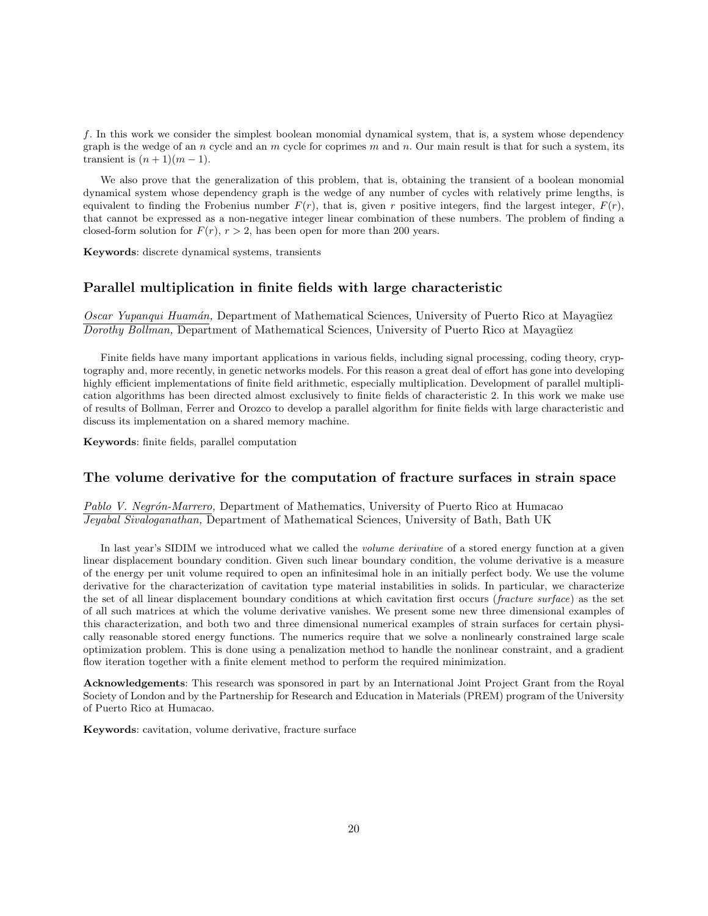*f*. In this work we consider the simplest boolean monomial dynamical system, that is, a system whose dependency graph is the wedge of an *n* cycle and an *m* cycle for coprimes *m* and *n*. Our main result is that for such a system, its transient is  $(n + 1)(m - 1)$ .

We also prove that the generalization of this problem, that is, obtaining the transient of a boolean monomial dynamical system whose dependency graph is the wedge of any number of cycles with relatively prime lengths, is equivalent to finding the Frobenius number  $F(r)$ , that is, given *r* positive integers, find the largest integer,  $F(r)$ , that cannot be expressed as a non-negative integer linear combination of these numbers. The problem of finding a closed-form solution for  $F(r)$ ,  $r > 2$ , has been open for more than 200 years.

**Keywords**: discrete dynamical systems, transients

#### **Parallel multiplication in finite fields with large characteristic**

*Oscar Yupanqui Huamán, Department of Mathematical Sciences, University of Puerto Rico at Mayagüez Dorothy Bollman, Department of Mathematical Sciences, University of Puerto Rico at Mayagüez* 

Finite fields have many important applications in various fields, including signal processing, coding theory, cryptography and, more recently, in genetic networks models. For this reason a great deal of effort has gone into developing highly efficient implementations of finite field arithmetic, especially multiplication. Development of parallel multiplication algorithms has been directed almost exclusively to finite fields of characteristic 2. In this work we make use of results of Bollman, Ferrer and Orozco to develop a parallel algorithm for finite fields with large characteristic and discuss its implementation on a shared memory machine.

**Keywords**: finite fields, parallel computation

#### **The volume derivative for the computation of fracture surfaces in strain space**

Pablo V. Negrón-Marrero, Department of Mathematics, University of Puerto Rico at Humacao *Jeyabal Sivaloganathan,* Department of Mathematical Sciences, University of Bath, Bath UK

In last year's SIDIM we introduced what we called the *volume derivative* of a stored energy function at a given linear displacement boundary condition. Given such linear boundary condition, the volume derivative is a measure of the energy per unit volume required to open an infinitesimal hole in an initially perfect body. We use the volume derivative for the characterization of cavitation type material instabilities in solids. In particular, we characterize the set of all linear displacement boundary conditions at which cavitation first occurs (*fracture surface*) as the set of all such matrices at which the volume derivative vanishes. We present some new three dimensional examples of this characterization, and both two and three dimensional numerical examples of strain surfaces for certain physically reasonable stored energy functions. The numerics require that we solve a nonlinearly constrained large scale optimization problem. This is done using a penalization method to handle the nonlinear constraint, and a gradient flow iteration together with a finite element method to perform the required minimization.

**Acknowledgements**: This research was sponsored in part by an International Joint Project Grant from the Royal Society of London and by the Partnership for Research and Education in Materials (PREM) program of the University of Puerto Rico at Humacao.

**Keywords**: cavitation, volume derivative, fracture surface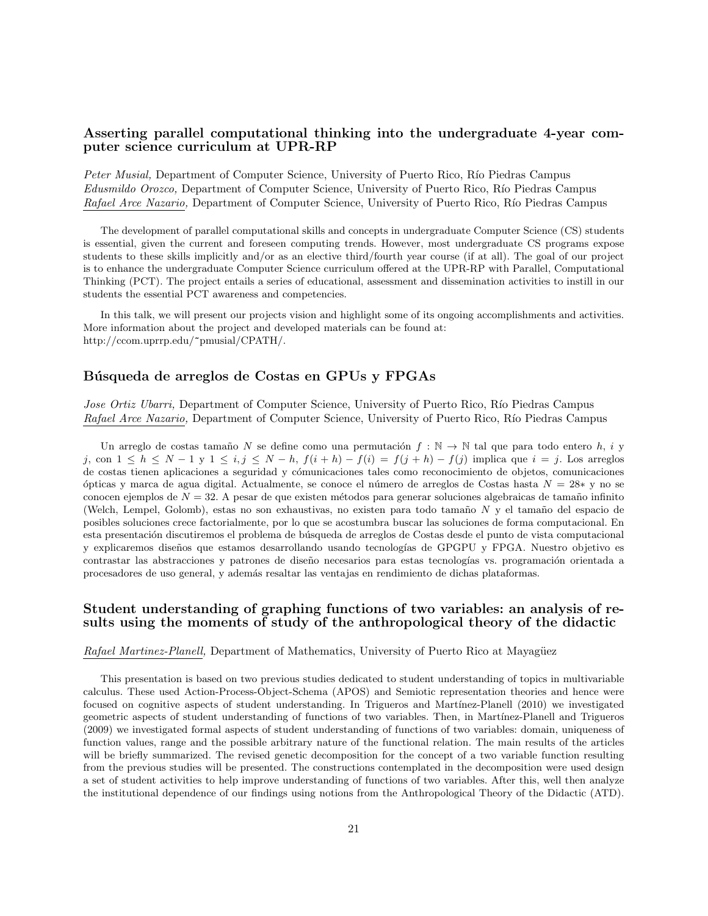# **Asserting parallel computational thinking into the undergraduate 4-year computer science curriculum at UPR-RP**

*Peter Musial,* Department of Computer Science, University of Puerto Rico, Río Piedras Campus *Edusmildo Orozco,* Department of Computer Science, University of Puerto Rico, R´ıo Piedras Campus *Rafael Arce Nazario, Department of Computer Science, University of Puerto Rico, Río Piedras Campus* 

The development of parallel computational skills and concepts in undergraduate Computer Science (CS) students is essential, given the current and foreseen computing trends. However, most undergraduate CS programs expose students to these skills implicitly and/or as an elective third/fourth year course (if at all). The goal of our project is to enhance the undergraduate Computer Science curriculum offered at the UPR-RP with Parallel, Computational Thinking (PCT). The project entails a series of educational, assessment and dissemination activities to instill in our students the essential PCT awareness and competencies.

In this talk, we will present our projects vision and highlight some of its ongoing accomplishments and activities. More information about the project and developed materials can be found at: http://ccom.uprrp.edu/~pmusial/CPATH/.

#### **B´usqueda de arreglos de Costas en GPUs y FPGAs**

*Jose Ortiz Ubarri,* Department of Computer Science, University of Puerto Rico, Río Piedras Campus *Rafael Arce Nazario,* Department of Computer Science, University of Puerto Rico, Río Piedras Campus

Un arreglo de costas tamaño *N* se define como una permutación  $f : \mathbb{N} \to \mathbb{N}$  tal que para todo entero *h*, *i* y j, con  $1 \leq h \leq N-1$  y  $1 \leq i, j \leq N-h$ ,  $f(i+h) - f(i) = f(j+h) - f(j)$  implica que  $i = j$ . Los arreglos de costas tienen aplicaciones a seguridad y cómunicaciones tales como reconocimiento de objetos, comunicaciones ´opticas y marca de agua digital. Actualmente, se conoce el n´umero de arreglos de Costas hasta *N* = 28*∗* y no se conocen ejemplos de *N* = 32. A pesar de que existen métodos para generar soluciones algebraicas de tamaño infinito (Welch, Lempel, Golomb), estas no son exhaustivas, no existen para todo tama˜no *N* y el tama˜no del espacio de posibles soluciones crece factorialmente, por lo que se acostumbra buscar las soluciones de forma computacional. En esta presentación discutiremos el problema de búsqueda de arreglos de Costas desde el punto de vista computacional y explicaremos diseños que estamos desarrollando usando tecnologías de GPGPU y FPGA. Nuestro objetivo es contrastar las abstracciones y patrones de diseño necesarios para estas tecnologías vs. programación orientada a procesadores de uso general, y adem´as resaltar las ventajas en rendimiento de dichas plataformas.

# **Student understanding of graphing functions of two variables: an analysis of results using the moments of study of the anthropological theory of the didactic**

*Rafael Martinez-Planell,* Department of Mathematics, University of Puerto Rico at Mayagüez

This presentation is based on two previous studies dedicated to student understanding of topics in multivariable calculus. These used Action-Process-Object-Schema (APOS) and Semiotic representation theories and hence were focused on cognitive aspects of student understanding. In Trigueros and Martínez-Planell (2010) we investigated geometric aspects of student understanding of functions of two variables. Then, in Martínez-Planell and Trigueros (2009) we investigated formal aspects of student understanding of functions of two variables: domain, uniqueness of function values, range and the possible arbitrary nature of the functional relation. The main results of the articles will be briefly summarized. The revised genetic decomposition for the concept of a two variable function resulting from the previous studies will be presented. The constructions contemplated in the decomposition were used design a set of student activities to help improve understanding of functions of two variables. After this, well then analyze the institutional dependence of our findings using notions from the Anthropological Theory of the Didactic (ATD).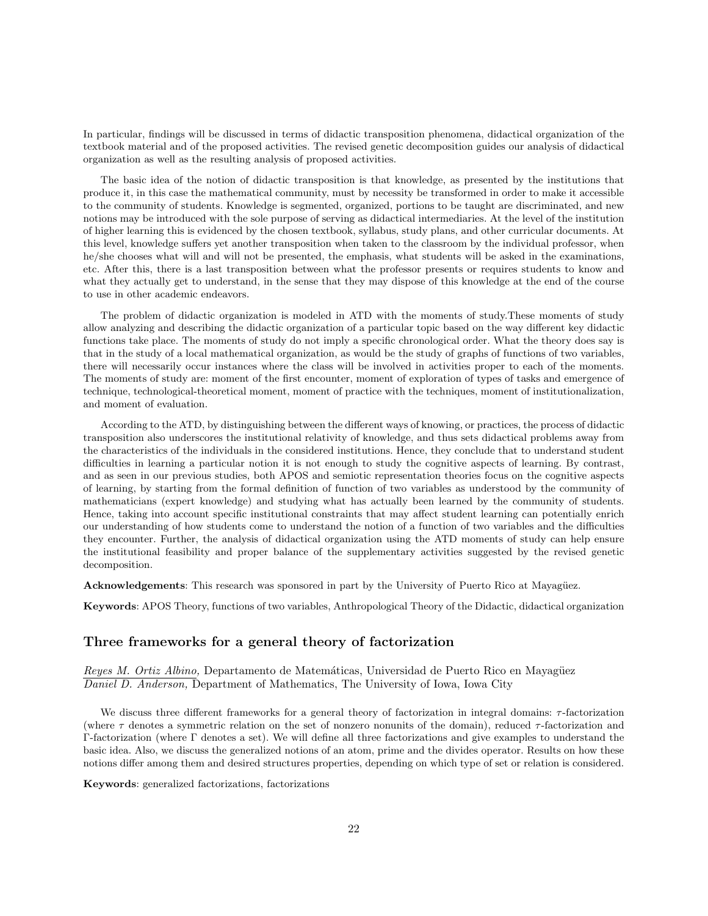In particular, findings will be discussed in terms of didactic transposition phenomena, didactical organization of the textbook material and of the proposed activities. The revised genetic decomposition guides our analysis of didactical organization as well as the resulting analysis of proposed activities.

The basic idea of the notion of didactic transposition is that knowledge, as presented by the institutions that produce it, in this case the mathematical community, must by necessity be transformed in order to make it accessible to the community of students. Knowledge is segmented, organized, portions to be taught are discriminated, and new notions may be introduced with the sole purpose of serving as didactical intermediaries. At the level of the institution of higher learning this is evidenced by the chosen textbook, syllabus, study plans, and other curricular documents. At this level, knowledge suffers yet another transposition when taken to the classroom by the individual professor, when he/she chooses what will and will not be presented, the emphasis, what students will be asked in the examinations, etc. After this, there is a last transposition between what the professor presents or requires students to know and what they actually get to understand, in the sense that they may dispose of this knowledge at the end of the course to use in other academic endeavors.

The problem of didactic organization is modeled in ATD with the moments of study.These moments of study allow analyzing and describing the didactic organization of a particular topic based on the way different key didactic functions take place. The moments of study do not imply a specific chronological order. What the theory does say is that in the study of a local mathematical organization, as would be the study of graphs of functions of two variables, there will necessarily occur instances where the class will be involved in activities proper to each of the moments. The moments of study are: moment of the first encounter, moment of exploration of types of tasks and emergence of technique, technological-theoretical moment, moment of practice with the techniques, moment of institutionalization, and moment of evaluation.

According to the ATD, by distinguishing between the different ways of knowing, or practices, the process of didactic transposition also underscores the institutional relativity of knowledge, and thus sets didactical problems away from the characteristics of the individuals in the considered institutions. Hence, they conclude that to understand student difficulties in learning a particular notion it is not enough to study the cognitive aspects of learning. By contrast, and as seen in our previous studies, both APOS and semiotic representation theories focus on the cognitive aspects of learning, by starting from the formal definition of function of two variables as understood by the community of mathematicians (expert knowledge) and studying what has actually been learned by the community of students. Hence, taking into account specific institutional constraints that may affect student learning can potentially enrich our understanding of how students come to understand the notion of a function of two variables and the difficulties they encounter. Further, the analysis of didactical organization using the ATD moments of study can help ensure the institutional feasibility and proper balance of the supplementary activities suggested by the revised genetic decomposition.

**Acknowledgements**: This research was sponsored in part by the University of Puerto Rico at Mayagüez.

**Keywords**: APOS Theory, functions of two variables, Anthropological Theory of the Didactic, didactical organization

### **Three frameworks for a general theory of factorization**

*Reyes M. Ortiz Albino,* Departamento de Matemáticas, Universidad de Puerto Rico en Mayagüez *Daniel D. Anderson,* Department of Mathematics, The University of Iowa, Iowa City

We discuss three different frameworks for a general theory of factorization in integral domains: *τ* -factorization (where *τ* denotes a symmetric relation on the set of nonzero nonunits of the domain), reduced *τ* -factorization and Γ-factorization (where Γ denotes a set). We will define all three factorizations and give examples to understand the basic idea. Also, we discuss the generalized notions of an atom, prime and the divides operator. Results on how these notions differ among them and desired structures properties, depending on which type of set or relation is considered.

**Keywords**: generalized factorizations, factorizations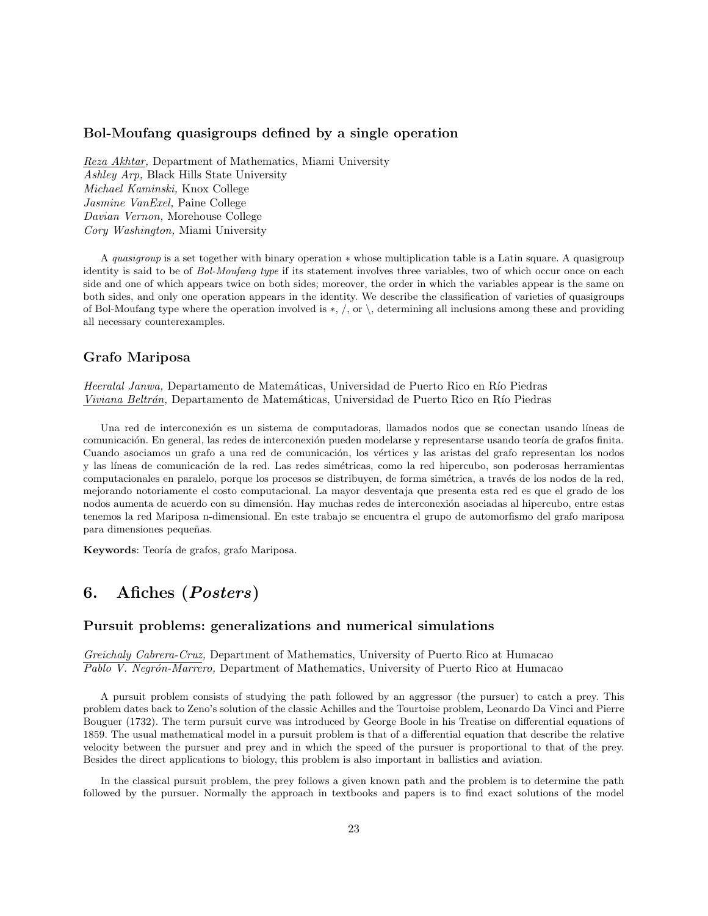#### **Bol-Moufang quasigroups defined by a single operation**

*Reza Akhtar,* Department of Mathematics, Miami University *Ashley Arp,* Black Hills State University *Michael Kaminski,* Knox College *Jasmine VanExel,* Paine College *Davian Vernon,* Morehouse College *Cory Washington,* Miami University

A *quasigroup* is a set together with binary operation *∗* whose multiplication table is a Latin square. A quasigroup identity is said to be of *Bol-Moufang type* if its statement involves three variables, two of which occur once on each side and one of which appears twice on both sides; moreover, the order in which the variables appear is the same on both sides, and only one operation appears in the identity. We describe the classification of varieties of quasigroups of Bol-Moufang type where the operation involved is *∗*, */*, or *\*, determining all inclusions among these and providing all necessary counterexamples.

#### **Grafo Mariposa**

*Heeralal Janwa*, Departamento de Matemáticas, Universidad de Puerto Rico en Río Piedras *Viviana Beltrán*, Departamento de Matemáticas, Universidad de Puerto Rico en Río Piedras

Una red de interconexión es un sistema de computadoras, llamados nodos que se conectan usando líneas de comunicación. En general, las redes de interconexión pueden modelarse y representarse usando teoría de grafos finita. Cuando asociamos un grafo a una red de comunicación, los vértices y las aristas del grafo representan los nodos y las líneas de comunicación de la red. Las redes simétricas, como la red hipercubo, son poderosas herramientas computacionales en paralelo, porque los procesos se distribuyen, de forma simétrica, a través de los nodos de la red, mejorando notoriamente el costo computacional. La mayor desventaja que presenta esta red es que el grado de los nodos aumenta de acuerdo con su dimensión. Hay muchas redes de interconexión asociadas al hipercubo, entre estas tenemos la red Mariposa n-dimensional. En este trabajo se encuentra el grupo de automorfismo del grafo mariposa para dimensiones pequeñas.

Keywords: Teoría de grafos, grafo Mariposa.

# **6. Afiches (***Posters***)**

#### **Pursuit problems: generalizations and numerical simulations**

*Greichaly Cabrera-Cruz,* Department of Mathematics, University of Puerto Rico at Humacao *Pablo V. Negr´on-Marrero,* Department of Mathematics, University of Puerto Rico at Humacao

A pursuit problem consists of studying the path followed by an aggressor (the pursuer) to catch a prey. This problem dates back to Zeno's solution of the classic Achilles and the Tourtoise problem, Leonardo Da Vinci and Pierre Bouguer (1732). The term pursuit curve was introduced by George Boole in his Treatise on differential equations of 1859. The usual mathematical model in a pursuit problem is that of a differential equation that describe the relative velocity between the pursuer and prey and in which the speed of the pursuer is proportional to that of the prey. Besides the direct applications to biology, this problem is also important in ballistics and aviation.

In the classical pursuit problem, the prey follows a given known path and the problem is to determine the path followed by the pursuer. Normally the approach in textbooks and papers is to find exact solutions of the model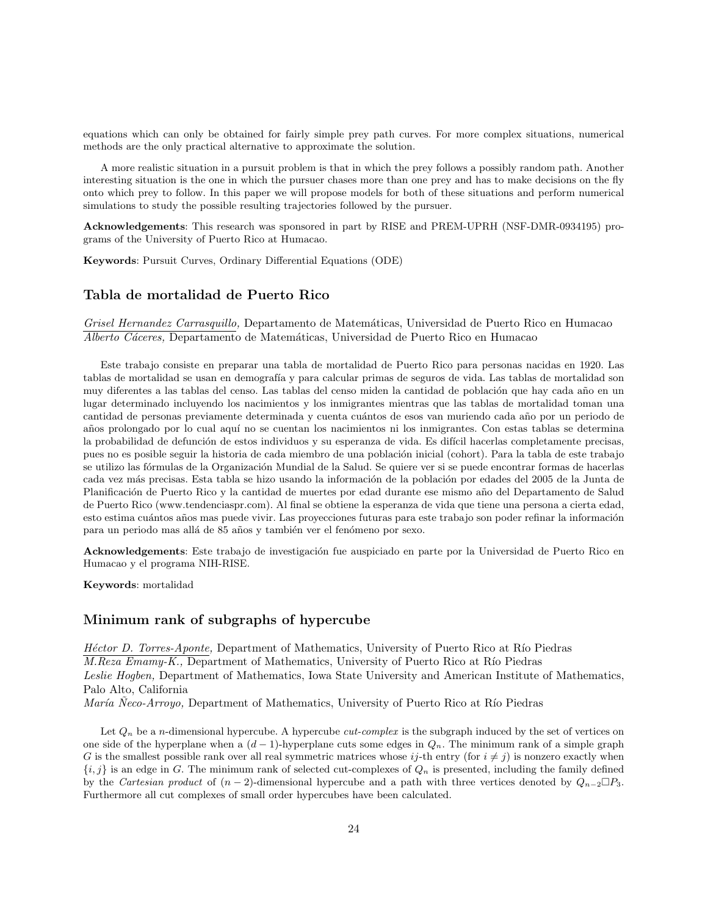equations which can only be obtained for fairly simple prey path curves. For more complex situations, numerical methods are the only practical alternative to approximate the solution.

A more realistic situation in a pursuit problem is that in which the prey follows a possibly random path. Another interesting situation is the one in which the pursuer chases more than one prey and has to make decisions on the fly onto which prey to follow. In this paper we will propose models for both of these situations and perform numerical simulations to study the possible resulting trajectories followed by the pursuer.

**Acknowledgements**: This research was sponsored in part by RISE and PREM-UPRH (NSF-DMR-0934195) programs of the University of Puerto Rico at Humacao.

**Keywords**: Pursuit Curves, Ordinary Differential Equations (ODE)

#### **Tabla de mortalidad de Puerto Rico**

*Grisel Hernandez Carrasquillo,* Departamento de Matem´aticas, Universidad de Puerto Rico en Humacao *Alberto C´aceres,* Departamento de Matem´aticas, Universidad de Puerto Rico en Humacao

Este trabajo consiste en preparar una tabla de mortalidad de Puerto Rico para personas nacidas en 1920. Las tablas de mortalidad se usan en demografía y para calcular primas de seguros de vida. Las tablas de mortalidad son muy diferentes a las tablas del censo. Las tablas del censo miden la cantidad de población que hay cada año en un lugar determinado incluyendo los nacimientos y los inmigrantes mientras que las tablas de mortalidad toman una cantidad de personas previamente determinada y cuenta cuántos de esos van muriendo cada año por un periodo de años prolongado por lo cual aquí no se cuentan los nacimientos ni los inmigrantes. Con estas tablas se determina la probabilidad de defunción de estos individuos y su esperanza de vida. Es difícil hacerlas completamente precisas, pues no es posible seguir la historia de cada miembro de una población inicial (cohort). Para la tabla de este trabajo se utilizo las fórmulas de la Organización Mundial de la Salud. Se quiere ver si se puede encontrar formas de hacerlas cada vez más precisas. Esta tabla se hizo usando la información de la población por edades del 2005 de la Junta de Planificación de Puerto Rico y la cantidad de muertes por edad durante ese mismo año del Departamento de Salud de Puerto Rico (www.tendenciaspr.com). Al final se obtiene la esperanza de vida que tiene una persona a cierta edad, esto estima cuántos años mas puede vivir. Las proyecciones futuras para este trabajo son poder refinar la información para un periodo mas allá de 85 años y también ver el fenómeno por sexo.

Acknowledgements: Este trabajo de investigación fue auspiciado en parte por la Universidad de Puerto Rico en Humacao y el programa NIH-RISE.

**Keywords**: mortalidad

#### **Minimum rank of subgraphs of hypercube**

*Héctor D. Torres-Aponte*, Department of Mathematics, University of Puerto Rico at Río Piedras *M.Reza Emamy-K.*, Department of Mathematics, University of Puerto Rico at Río Piedras *Leslie Hogben,* Department of Mathematics, Iowa State University and American Institute of Mathematics, Palo Alto, California

*María* Neco-Arroyo, Department of Mathematics, University of Puerto Rico at Río Piedras

Let  $Q_n$  be a *n*-dimensional hypercube. A hypercube *cut-complex* is the subgraph induced by the set of vertices on one side of the hyperplane when a (*d −* 1)-hyperplane cuts some edges in *Qn*. The minimum rank of a simple graph *G* is the smallest possible rank over all real symmetric matrices whose  $i_j$ -th entry (for  $i \neq j$ ) is nonzero exactly when  ${i, j}$  is an edge in *G*. The minimum rank of selected cut-complexes of  $Q_n$  is presented, including the family defined by the *Cartesian product* of  $(n-2)$ -dimensional hypercube and a path with three vertices denoted by  $Q_{n-2} \square P_3$ . Furthermore all cut complexes of small order hypercubes have been calculated.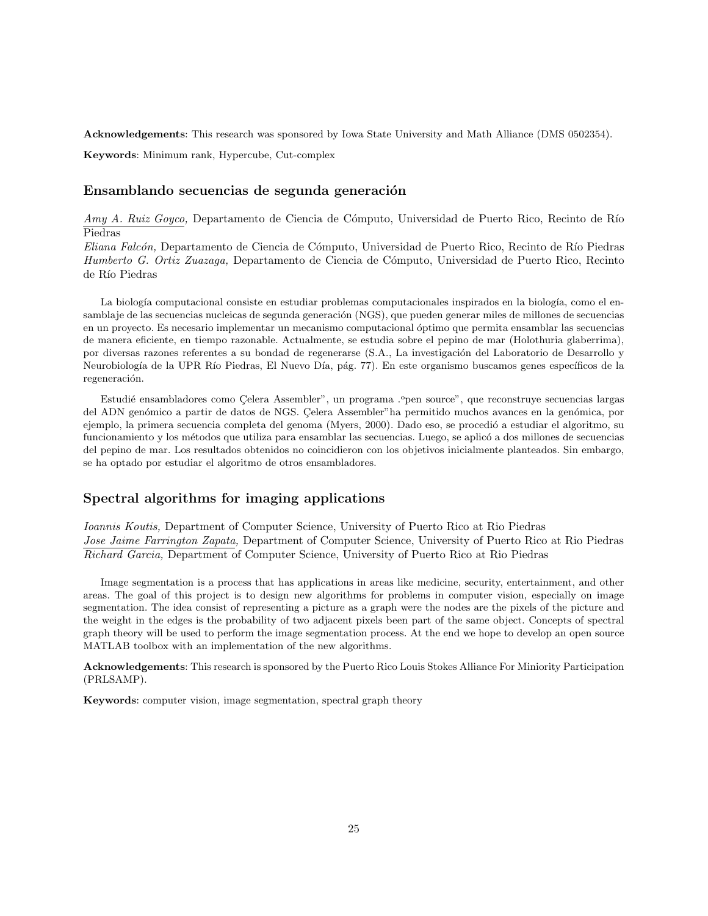**Acknowledgements**: This research was sponsored by Iowa State University and Math Alliance (DMS 0502354).

**Keywords**: Minimum rank, Hypercube, Cut-complex

# Ensamblando secuencias de segunda generación

*Amy A. Ruiz Goyco,* Departamento de Ciencia de Cómputo, Universidad de Puerto Rico, Recinto de Río Piedras

*Eliana Falc´on,* Departamento de Ciencia de C´omputo, Universidad de Puerto Rico, Recinto de R´ıo Piedras *Humberto G. Ortiz Zuazaga,* Departamento de Ciencia de C´omputo, Universidad de Puerto Rico, Recinto de Río Piedras

La biología computacional consiste en estudiar problemas computacionales inspirados en la biología, como el ensamblaje de las secuencias nucleicas de segunda generación (NGS), que pueden generar miles de millones de secuencias en un proyecto. Es necesario implementar un mecanismo computacional ´optimo que permita ensamblar las secuencias de manera eficiente, en tiempo razonable. Actualmente, se estudia sobre el pepino de mar (Holothuria glaberrima), por diversas razones referentes a su bondad de regenerarse (S.A., La investigación del Laboratorio de Desarrollo y Neurobiología de la UPR Río Piedras, El Nuevo Día, pág. 77). En este organismo buscamos genes específicos de la regeneración.

Estudié ensambladores como Celera Assembler", un programa .<sup>o</sup>pen source", que reconstruye secuencias largas del ADN genómico a partir de datos de NGS. Celera Assembler"ha permitido muchos avances en la genómica, por ejemplo, la primera secuencia completa del genoma (Myers, 2000). Dado eso, se procedió a estudiar el algoritmo, su funcionamiento y los métodos que utiliza para ensamblar las secuencias. Luego, se aplicó a dos millones de secuencias del pepino de mar. Los resultados obtenidos no coincidieron con los objetivos inicialmente planteados. Sin embargo, se ha optado por estudiar el algoritmo de otros ensambladores.

# **Spectral algorithms for imaging applications**

*Ioannis Koutis,* Department of Computer Science, University of Puerto Rico at Rio Piedras *Jose Jaime Farrington Zapata,* Department of Computer Science, University of Puerto Rico at Rio Piedras *Richard Garcia,* Department of Computer Science, University of Puerto Rico at Rio Piedras

Image segmentation is a process that has applications in areas like medicine, security, entertainment, and other areas. The goal of this project is to design new algorithms for problems in computer vision, especially on image segmentation. The idea consist of representing a picture as a graph were the nodes are the pixels of the picture and the weight in the edges is the probability of two adjacent pixels been part of the same object. Concepts of spectral graph theory will be used to perform the image segmentation process. At the end we hope to develop an open source MATLAB toolbox with an implementation of the new algorithms.

**Acknowledgements**: This research is sponsored by the Puerto Rico Louis Stokes Alliance For Miniority Participation (PRLSAMP).

**Keywords**: computer vision, image segmentation, spectral graph theory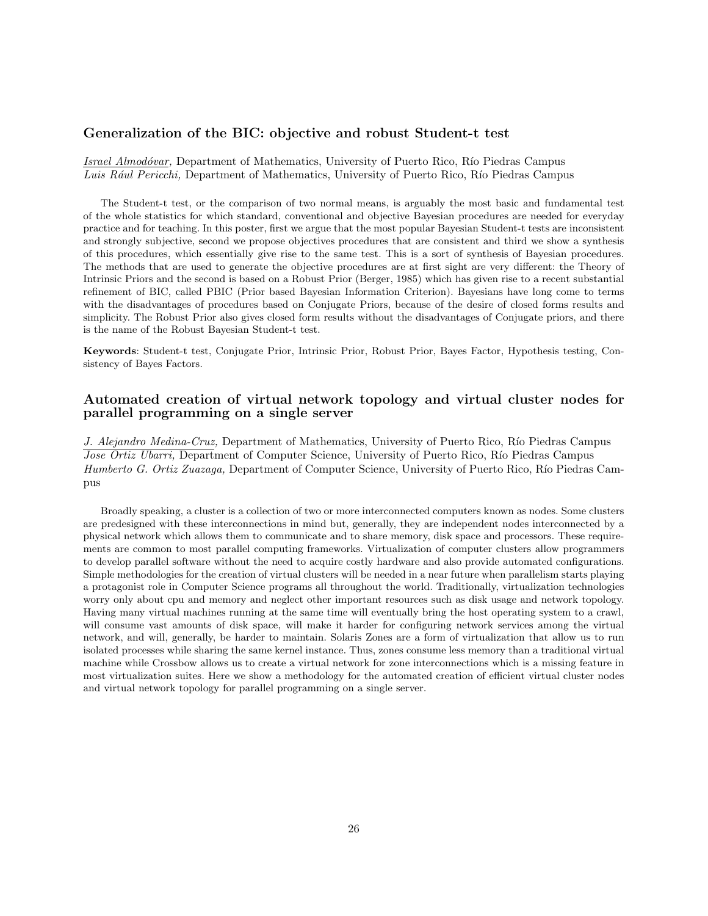# **Generalization of the BIC: objective and robust Student-t test**

*Israel Almodóvar*, Department of Mathematics, University of Puerto Rico, Río Piedras Campus Luis Rául Pericchi, Department of Mathematics, University of Puerto Rico, Río Piedras Campus

The Student-t test, or the comparison of two normal means, is arguably the most basic and fundamental test of the whole statistics for which standard, conventional and objective Bayesian procedures are needed for everyday practice and for teaching. In this poster, first we argue that the most popular Bayesian Student-t tests are inconsistent and strongly subjective, second we propose objectives procedures that are consistent and third we show a synthesis of this procedures, which essentially give rise to the same test. This is a sort of synthesis of Bayesian procedures. The methods that are used to generate the objective procedures are at first sight are very different: the Theory of Intrinsic Priors and the second is based on a Robust Prior (Berger, 1985) which has given rise to a recent substantial refinement of BIC, called PBIC (Prior based Bayesian Information Criterion). Bayesians have long come to terms with the disadvantages of procedures based on Conjugate Priors, because of the desire of closed forms results and simplicity. The Robust Prior also gives closed form results without the disadvantages of Conjugate priors, and there is the name of the Robust Bayesian Student-t test.

**Keywords**: Student-t test, Conjugate Prior, Intrinsic Prior, Robust Prior, Bayes Factor, Hypothesis testing, Consistency of Bayes Factors.

### **Automated creation of virtual network topology and virtual cluster nodes for parallel programming on a single server**

*J. Alejandro Medina-Cruz,* Department of Mathematics, University of Puerto Rico, Río Piedras Campus *Jose Ortiz Ubarri*, Department of Computer Science, University of Puerto Rico, Río Piedras Campus *Humberto G. Ortiz Zuazaga*, Department of Computer Science, University of Puerto Rico, Río Piedras Campus

Broadly speaking, a cluster is a collection of two or more interconnected computers known as nodes. Some clusters are predesigned with these interconnections in mind but, generally, they are independent nodes interconnected by a physical network which allows them to communicate and to share memory, disk space and processors. These requirements are common to most parallel computing frameworks. Virtualization of computer clusters allow programmers to develop parallel software without the need to acquire costly hardware and also provide automated configurations. Simple methodologies for the creation of virtual clusters will be needed in a near future when parallelism starts playing a protagonist role in Computer Science programs all throughout the world. Traditionally, virtualization technologies worry only about cpu and memory and neglect other important resources such as disk usage and network topology. Having many virtual machines running at the same time will eventually bring the host operating system to a crawl, will consume vast amounts of disk space, will make it harder for configuring network services among the virtual network, and will, generally, be harder to maintain. Solaris Zones are a form of virtualization that allow us to run isolated processes while sharing the same kernel instance. Thus, zones consume less memory than a traditional virtual machine while Crossbow allows us to create a virtual network for zone interconnections which is a missing feature in most virtualization suites. Here we show a methodology for the automated creation of efficient virtual cluster nodes and virtual network topology for parallel programming on a single server.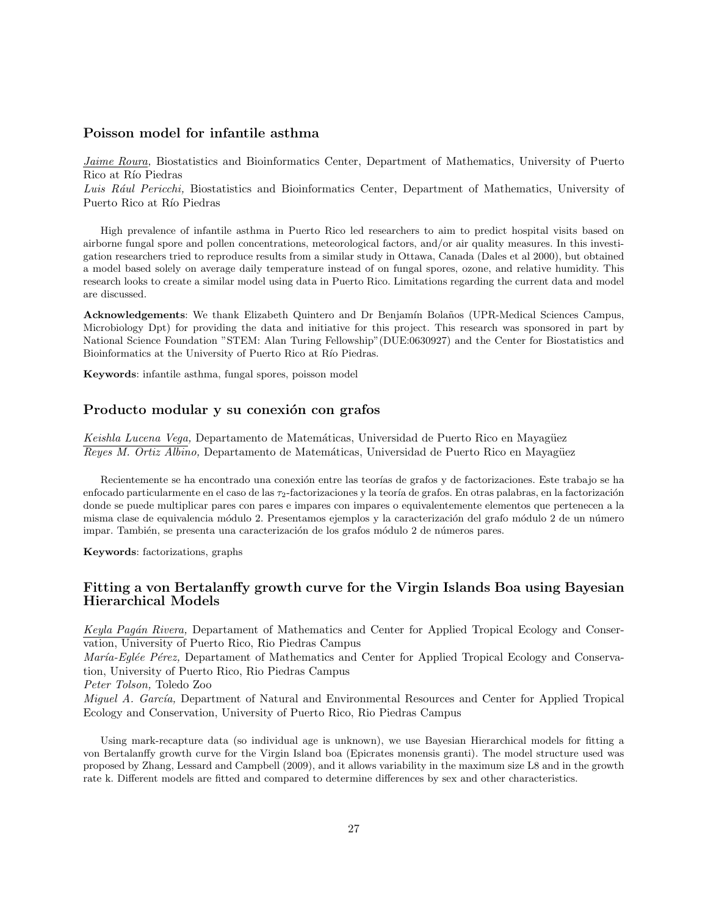# **Poisson model for infantile asthma**

*Jaime Roura,* Biostatistics and Bioinformatics Center, Department of Mathematics, University of Puerto Rico at Río Piedras

*Luis R´aul Pericchi,* Biostatistics and Bioinformatics Center, Department of Mathematics, University of Puerto Rico at Río Piedras

High prevalence of infantile asthma in Puerto Rico led researchers to aim to predict hospital visits based on airborne fungal spore and pollen concentrations, meteorological factors, and/or air quality measures. In this investigation researchers tried to reproduce results from a similar study in Ottawa, Canada (Dales et al 2000), but obtained a model based solely on average daily temperature instead of on fungal spores, ozone, and relative humidity. This research looks to create a similar model using data in Puerto Rico. Limitations regarding the current data and model are discussed.

**Acknowledgements**: We thank Elizabeth Quintero and Dr Benjamín Bolaños (UPR-Medical Sciences Campus, Microbiology Dpt) for providing the data and initiative for this project. This research was sponsored in part by National Science Foundation "STEM: Alan Turing Fellowship"(DUE:0630927) and the Center for Biostatistics and Bioinformatics at the University of Puerto Rico at Río Piedras.

**Keywords**: infantile asthma, fungal spores, poisson model

## Producto modular y su conexión con grafos

*Keishla Lucena Vega, Departamento de Matemáticas, Universidad de Puerto Rico en Mayagüez Reyes M. Ortiz Albino, Departamento de Matemáticas, Universidad de Puerto Rico en Mayagüez* 

Recientemente se ha encontrado una conexión entre las teorías de grafos y de factorizaciones. Este trabajo se ha enfocado particularmente en el caso de las *τ*<sub>2</sub>-factorizaciones y la teoría de grafos. En otras palabras, en la factorización donde se puede multiplicar pares con pares e impares con impares o equivalentemente elementos que pertenecen a la misma clase de equivalencia módulo 2. Presentamos ejemplos y la caracterización del grafo módulo 2 de un número impar. También, se presenta una caracterización de los grafos módulo 2 de números pares.

**Keywords**: factorizations, graphs

# **Fitting a von Bertalanffy growth curve for the Virgin Islands Boa using Bayesian Hierarchical Models**

*Keyla Pag´an Rivera,* Departament of Mathematics and Center for Applied Tropical Ecology and Conservation, University of Puerto Rico, Rio Piedras Campus

*María-Eglée Pérez,* Departament of Mathematics and Center for Applied Tropical Ecology and Conservation, University of Puerto Rico, Rio Piedras Campus

*Peter Tolson,* Toledo Zoo

*Miguel A. Garc´ıa,* Department of Natural and Environmental Resources and Center for Applied Tropical Ecology and Conservation, University of Puerto Rico, Rio Piedras Campus

Using mark-recapture data (so individual age is unknown), we use Bayesian Hierarchical models for fitting a von Bertalanffy growth curve for the Virgin Island boa (Epicrates monensis granti). The model structure used was proposed by Zhang, Lessard and Campbell (2009), and it allows variability in the maximum size L8 and in the growth rate k. Different models are fitted and compared to determine differences by sex and other characteristics.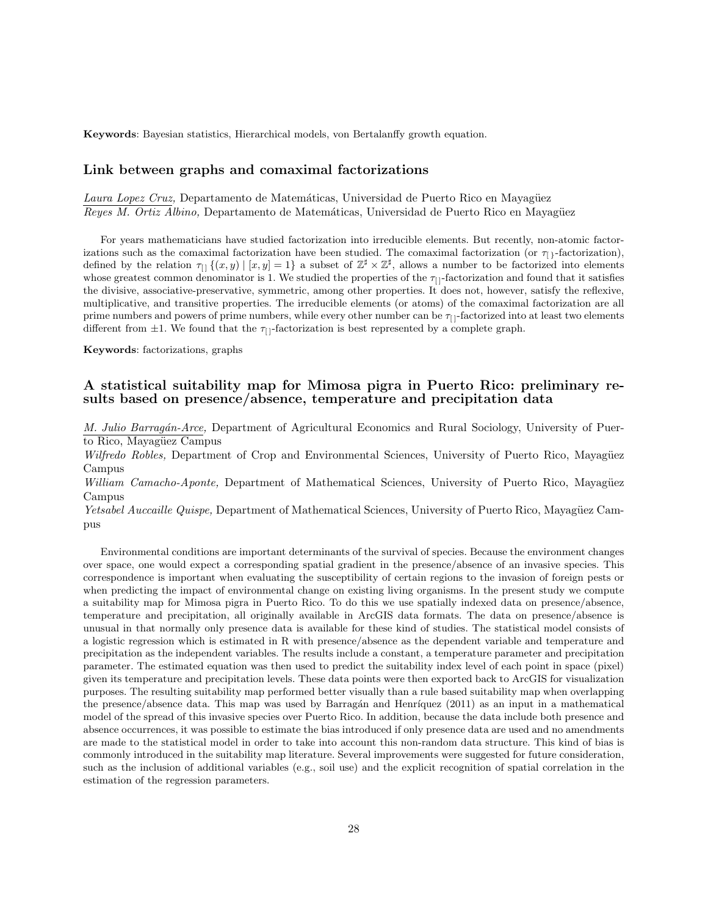**Keywords**: Bayesian statistics, Hierarchical models, von Bertalanffy growth equation.

#### **Link between graphs and comaximal factorizations**

Laura Lopez Cruz, Departamento de Matemáticas, Universidad de Puerto Rico en Mayagüez *Reyes M. Ortiz Albino, Departamento de Matemáticas, Universidad de Puerto Rico en Mayagüez* 

For years mathematicians have studied factorization into irreducible elements. But recently, non-atomic factorizations such as the comaximal factorization have been studied. The comaximal factorization (or  $\tau_{[1]}$ -factorization), defined by the relation  $\tau_{[]}$   $\{(x, y) | [x, y] = 1\}$  a subset of  $\mathbb{Z}^{\sharp} \times \mathbb{Z}^{\sharp}$ , allows a number to be factorized into elements whose greatest common denominator is 1. We studied the properties of the  $\tau_{[]}$ -factorization and found that it satisfies the divisive, associative-preservative, symmetric, among other properties. It does not, however, satisfy the reflexive, multiplicative, and transitive properties. The irreducible elements (or atoms) of the comaximal factorization are all prime numbers and powers of prime numbers, while every other number can be *τ*[ ]-factorized into at least two elements different from  $\pm 1$ . We found that the  $\tau_{\text{}}$ -factorization is best represented by a complete graph.

**Keywords**: factorizations, graphs

# **A statistical suitability map for Mimosa pigra in Puerto Rico: preliminary results based on presence/absence, temperature and precipitation data**

*M. Julio Barrag´an-Arce,* Department of Agricultural Economics and Rural Sociology, University of Puerto Rico, Mayagüez Campus

*Wilfredo Robles, Department of Crop and Environmental Sciences, University of Puerto Rico, Mayagüez* Campus

*William Camacho-Aponte,* Department of Mathematical Sciences, University of Puerto Rico, Mayagüez Campus

*Yetsabel Auccaille Quispe*, Department of Mathematical Sciences, University of Puerto Rico, Mayagüez Campus

Environmental conditions are important determinants of the survival of species. Because the environment changes over space, one would expect a corresponding spatial gradient in the presence/absence of an invasive species. This correspondence is important when evaluating the susceptibility of certain regions to the invasion of foreign pests or when predicting the impact of environmental change on existing living organisms. In the present study we compute a suitability map for Mimosa pigra in Puerto Rico. To do this we use spatially indexed data on presence/absence, temperature and precipitation, all originally available in ArcGIS data formats. The data on presence/absence is unusual in that normally only presence data is available for these kind of studies. The statistical model consists of a logistic regression which is estimated in R with presence/absence as the dependent variable and temperature and precipitation as the independent variables. The results include a constant, a temperature parameter and precipitation parameter. The estimated equation was then used to predict the suitability index level of each point in space (pixel) given its temperature and precipitation levels. These data points were then exported back to ArcGIS for visualization purposes. The resulting suitability map performed better visually than a rule based suitability map when overlapping the presence/absence data. This map was used by Barragán and Henríquez (2011) as an input in a mathematical model of the spread of this invasive species over Puerto Rico. In addition, because the data include both presence and absence occurrences, it was possible to estimate the bias introduced if only presence data are used and no amendments are made to the statistical model in order to take into account this non-random data structure. This kind of bias is commonly introduced in the suitability map literature. Several improvements were suggested for future consideration, such as the inclusion of additional variables (e.g., soil use) and the explicit recognition of spatial correlation in the estimation of the regression parameters.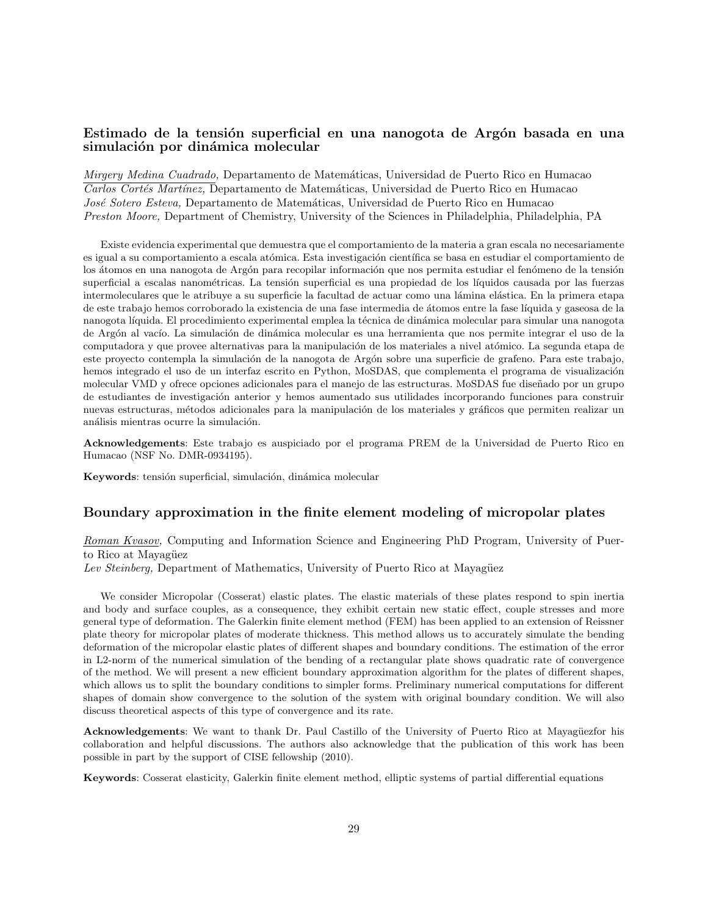# Estimado de la tensión superficial en una nanogota de Argón basada en una simulación por dinámica molecular

*Mirgery Medina Cuadrado,* Departamento de Matem´aticas, Universidad de Puerto Rico en Humacao  $\overline{Cartos Cortés \ Martínez, D}$ epartamento de Matemáticas, Universidad de Puerto Rico en Humacao *Jos´e Sotero Esteva,* Departamento de Matem´aticas, Universidad de Puerto Rico en Humacao *Preston Moore,* Department of Chemistry, University of the Sciences in Philadelphia, Philadelphia, PA

Existe evidencia experimental que demuestra que el comportamiento de la materia a gran escala no necesariamente es igual a su comportamiento a escala atómica. Esta investigación científica se basa en estudiar el comportamiento de los átomos en una nanogota de Argón para recopilar información que nos permita estudiar el fenómeno de la tensión superficial a escalas nanométricas. La tensión superficial es una propiedad de los líquidos causada por las fuerzas intermoleculares que le atribuye a su superficie la facultad de actuar como una lámina elástica. En la primera etapa de este trabajo hemos corroborado la existencia de una fase intermedia de ´atomos entre la fase l´ıquida y gaseosa de la nanogota líquida. El procedimiento experimental emplea la técnica de dinámica molecular para simular una nanogota de Argón al vacío. La simulación de dinámica molecular es una herramienta que nos permite integrar el uso de la computadora y que provee alternativas para la manipulación de los materiales a nivel atómico. La segunda etapa de este proyecto contempla la simulación de la nanogota de Argón sobre una superficie de grafeno. Para este trabajo, hemos integrado el uso de un interfaz escrito en Python, MoSDAS, que complementa el programa de visualización molecular VMD y ofrece opciones adicionales para el manejo de las estructuras. MoSDAS fue diseñado por un grupo de estudiantes de investigación anterior y hemos aumentado sus utilidades incorporando funciones para construir nuevas estructuras, métodos adicionales para la manipulación de los materiales y gráficos que permiten realizar un análisis mientras ocurre la simulación.

**Acknowledgements**: Este trabajo es auspiciado por el programa PREM de la Universidad de Puerto Rico en Humacao (NSF No. DMR-0934195).

Keywords: tensión superficial, simulación, dinámica molecular

#### **Boundary approximation in the finite element modeling of micropolar plates**

*Roman Kvasov,* Computing and Information Science and Engineering PhD Program, University of Puerto Rico at Mayagüez

*Lev Steinberg,* Department of Mathematics, University of Puerto Rico at Mayagüez

We consider Micropolar (Cosserat) elastic plates. The elastic materials of these plates respond to spin inertia and body and surface couples, as a consequence, they exhibit certain new static effect, couple stresses and more general type of deformation. The Galerkin finite element method (FEM) has been applied to an extension of Reissner plate theory for micropolar plates of moderate thickness. This method allows us to accurately simulate the bending deformation of the micropolar elastic plates of different shapes and boundary conditions. The estimation of the error in L2-norm of the numerical simulation of the bending of a rectangular plate shows quadratic rate of convergence of the method. We will present a new efficient boundary approximation algorithm for the plates of different shapes, which allows us to split the boundary conditions to simpler forms. Preliminary numerical computations for different shapes of domain show convergence to the solution of the system with original boundary condition. We will also discuss theoretical aspects of this type of convergence and its rate.

**Acknowledgements**: We want to thank Dr. Paul Castillo of the University of Puerto Rico at Mayagüezfor his collaboration and helpful discussions. The authors also acknowledge that the publication of this work has been possible in part by the support of CISE fellowship (2010).

**Keywords**: Cosserat elasticity, Galerkin finite element method, elliptic systems of partial differential equations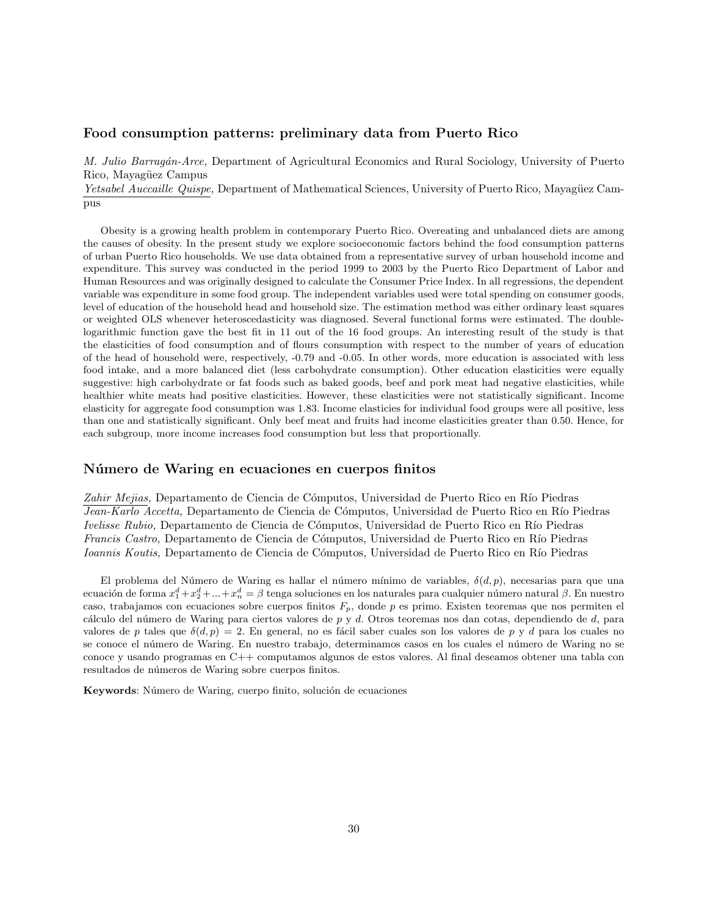#### **Food consumption patterns: preliminary data from Puerto Rico**

*M. Julio Barrag´an-Arce,* Department of Agricultural Economics and Rural Sociology, University of Puerto Rico, Mayagüez Campus

*Yetsabel Auccaille Quispe, Department of Mathematical Sciences, University of Puerto Rico, Mayagüez Cam*pus

Obesity is a growing health problem in contemporary Puerto Rico. Overeating and unbalanced diets are among the causes of obesity. In the present study we explore socioeconomic factors behind the food consumption patterns of urban Puerto Rico households. We use data obtained from a representative survey of urban household income and expenditure. This survey was conducted in the period 1999 to 2003 by the Puerto Rico Department of Labor and Human Resources and was originally designed to calculate the Consumer Price Index. In all regressions, the dependent variable was expenditure in some food group. The independent variables used were total spending on consumer goods, level of education of the household head and household size. The estimation method was either ordinary least squares or weighted OLS whenever heteroscedasticity was diagnosed. Several functional forms were estimated. The doublelogarithmic function gave the best fit in 11 out of the 16 food groups. An interesting result of the study is that the elasticities of food consumption and of flours consumption with respect to the number of years of education of the head of household were, respectively, -0.79 and -0.05. In other words, more education is associated with less food intake, and a more balanced diet (less carbohydrate consumption). Other education elasticities were equally suggestive: high carbohydrate or fat foods such as baked goods, beef and pork meat had negative elasticities, while healthier white meats had positive elasticities. However, these elasticities were not statistically significant. Income elasticity for aggregate food consumption was 1.83. Income elasticies for individual food groups were all positive, less than one and statistically significant. Only beef meat and fruits had income elasticities greater than 0.50. Hence, for each subgroup, more income increases food consumption but less that proportionally.

#### **N´umero de Waring en ecuaciones en cuerpos finitos**

Zahir Mejias, Departamento de Ciencia de Cómputos, Universidad de Puerto Rico en Río Piedras *Jean-Karlo Accetta,* Departamento de Ciencia de Cómputos, Universidad de Puerto Rico en Río Piedras *Ivelisse Rubio,* Departamento de Ciencia de Cómputos, Universidad de Puerto Rico en Río Piedras *Francis Castro*, Departamento de Ciencia de Cómputos, Universidad de Puerto Rico en Río Piedras *Ioannis Koutis, Departamento de Ciencia de Cómputos, Universidad de Puerto Rico en Río Piedras* 

El problema del N´umero de Waring es hallar el n´umero m´ınimo de variables, *δ*(*d, p*), necesarias para que una ecuación de forma  $x_1^d+x_2^d+...+x_n^d=\beta$  tenga soluciones en los naturales para cualquier número natural *β*. En nuestro caso, trabajamos con ecuaciones sobre cuerpos finitos *Fp*, donde *p* es primo. Existen teoremas que nos permiten el c´alculo del n´umero de Waring para ciertos valores de *p* y *d*. Otros teoremas nos dan cotas, dependiendo de *d*, para valores de *p* tales que  $\delta(d, p) = 2$ . En general, no es fácil saber cuales son los valores de *p* y *d* para los cuales no se conoce el n´umero de Waring. En nuestro trabajo, determinamos casos en los cuales el n´umero de Waring no se conoce y usando programas en C++ computamos algunos de estos valores. Al final deseamos obtener una tabla con resultados de números de Waring sobre cuerpos finitos.

Keywords: Número de Waring, cuerpo finito, solución de ecuaciones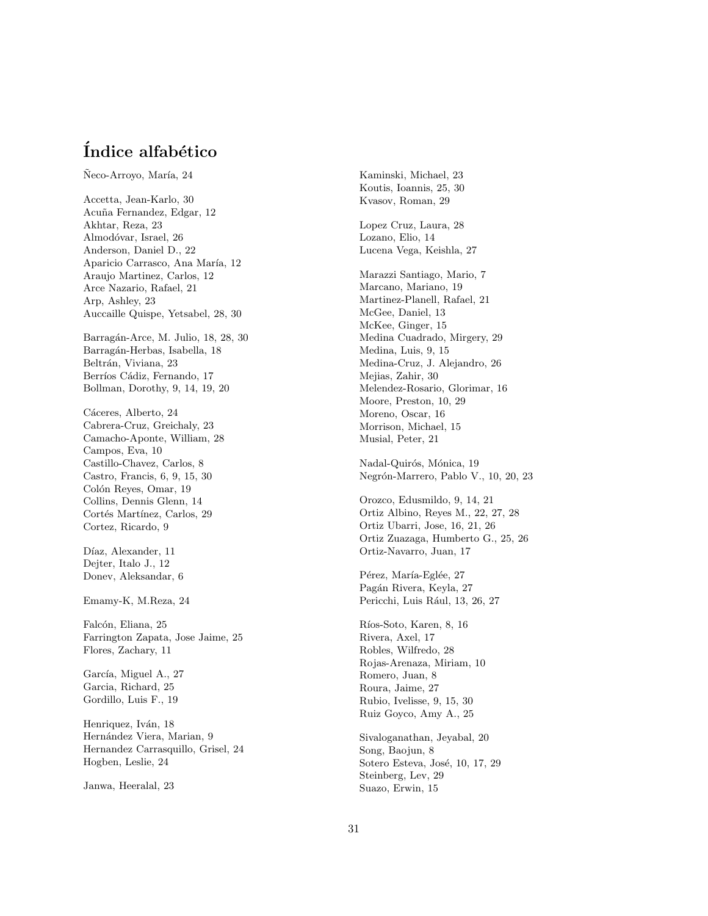# **´Indice alfab´etico**

Neco-Arroyo, María, 24

Accetta, Jean-Karlo, 30 Acu˜na Fernandez, Edgar, 12 Akhtar, Reza, 23 Almodóvar, Israel, 26 Anderson, Daniel D., 22 Aparicio Carrasco, Ana María, 12 Araujo Martinez, Carlos, 12 Arce Nazario, Rafael, 21 Arp, Ashley, 23 Auccaille Quispe, Yetsabel, 28, 30

Barragán-Arce, M. Julio, 18, 28, 30 Barragán-Herbas, Isabella, 18 Beltrán, Viviana, 23 Berríos Cádiz, Fernando, 17 Bollman, Dorothy, 9, 14, 19, 20

Cáceres, Alberto, 24 Cabrera-Cruz, Greichaly, 23 Camacho-Aponte, William, 28 Campos, Eva, 10 Castillo-Chavez, Carlos, 8 Castro, Francis, 6, 9, 15, 30 Colón Reyes, Omar, 19 Collins, Dennis Glenn, 14 Cortés Martínez, Carlos, 29 Cortez, Ricardo, 9

Díaz, Alexander, 11 Dejter, Italo J., 12 Donev, Aleksandar, 6

Emamy-K, M.Reza, 24

Falcón, Eliana, 25 Farrington Zapata, Jose Jaime, 25 Flores, Zachary, 11

García, Miguel A., 27 Garcia, Richard, 25 Gordillo, Luis F., 19

Henriquez, Iván, 18 Hernández Viera, Marian, 9 Hernandez Carrasquillo, Grisel, 24 Hogben, Leslie, 24

Janwa, Heeralal, 23

Kaminski, Michael, 23 Koutis, Ioannis, 25, 30 Kvasov, Roman, 29

Lopez Cruz, Laura, 28 Lozano, Elio, 14 Lucena Vega, Keishla, 27

Marazzi Santiago, Mario, 7 Marcano, Mariano, 19 Martinez-Planell, Rafael, 21 McGee, Daniel, 13 McKee, Ginger, 15 Medina Cuadrado, Mirgery, 29 Medina, Luis, 9, 15 Medina-Cruz, J. Alejandro, 26 Mejias, Zahir, 30 Melendez-Rosario, Glorimar, 16 Moore, Preston, 10, 29 Moreno, Oscar, 16 Morrison, Michael, 15 Musial, Peter, 21

Nadal-Quirós, Mónica, 19 Negrón-Marrero, Pablo V., 10, 20, 23

Orozco, Edusmildo, 9, 14, 21 Ortiz Albino, Reyes M., 22, 27, 28 Ortiz Ubarri, Jose, 16, 21, 26 Ortiz Zuazaga, Humberto G., 25, 26 Ortiz-Navarro, Juan, 17

Pérez, María-Eglée, 27 Pagán Rivera, Keyla, 27 Pericchi, Luis Rául, 13, 26, 27

Ríos-Soto, Karen, 8, 16 Rivera, Axel, 17 Robles, Wilfredo, 28 Rojas-Arenaza, Miriam, 10 Romero, Juan, 8 Roura, Jaime, 27 Rubio, Ivelisse, 9, 15, 30 Ruiz Goyco, Amy A., 25

Sivaloganathan, Jeyabal, 20 Song, Baojun, 8 Sotero Esteva, José, 10, 17, 29 Steinberg, Lev, 29 Suazo, Erwin, 15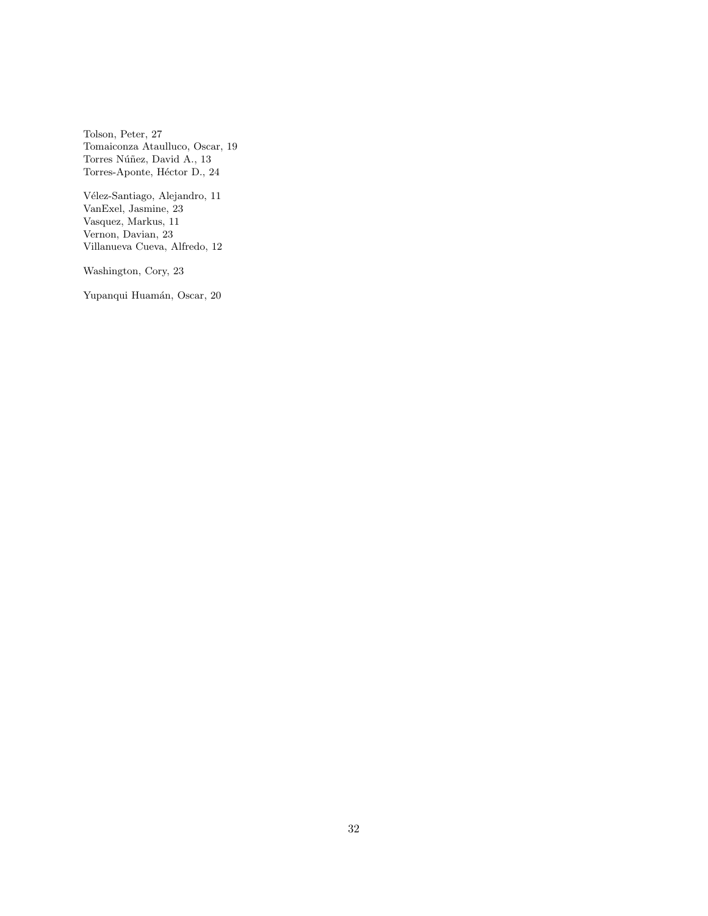Tolson, Peter, 27 Tomaiconza Ataulluco, Oscar, 19 Torres Núñez, David A., 13 Torres-Aponte, Héctor D., 24

 $\it{V\'elez-Santiago},$  Alejandro, 11 VanExel, Jasmine, 23 Vasquez, Markus, 11 Vernon, Davian, 23 Villanueva Cueva, Alfredo, 12

Washington, Cory, 23

Yupanqui Huamán, Oscar, 20